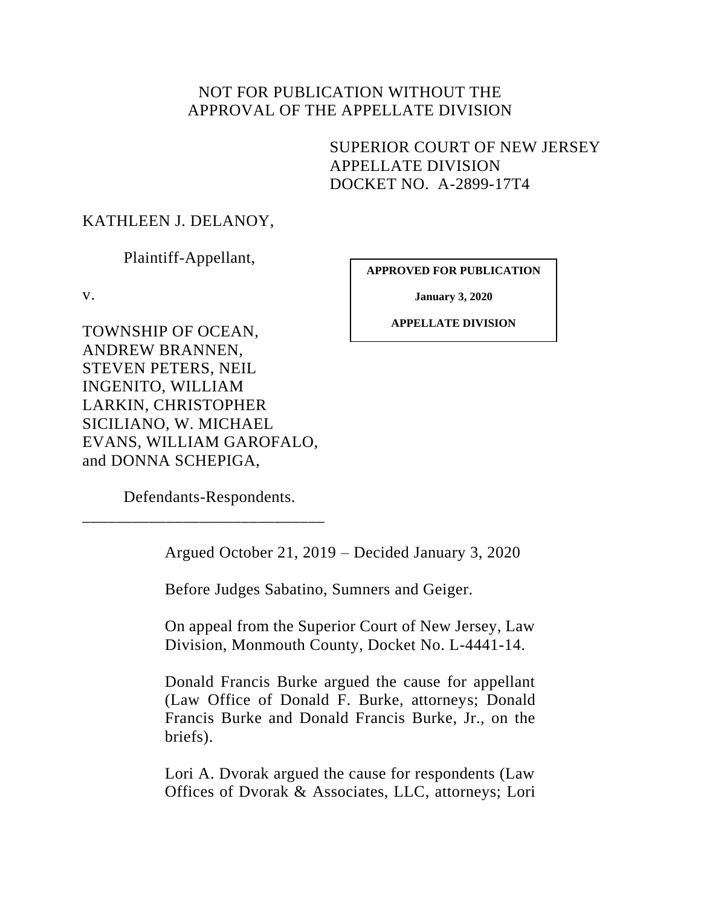# NOT FOR PUBLICATION WITHOUT THE APPROVAL OF THE APPELLATE DIVISION

SUPERIOR COURT OF NEW JERSEY APPELLATE DIVISION DOCKET NO. A-2899-17T4

## KATHLEEN J. DELANOY,

Plaintiff-Appellant,

v.

**APPROVED FOR PUBLICATION**

**January 3, 2020**

**APPELLATE DIVISION**

TOWNSHIP OF OCEAN, ANDREW BRANNEN, STEVEN PETERS, NEIL INGENITO, WILLIAM LARKIN, CHRISTOPHER SICILIANO, W. MICHAEL EVANS, WILLIAM GAROFALO, and DONNA SCHEPIGA,

Defendants-Respondents.

\_\_\_\_\_\_\_\_\_\_\_\_\_\_\_\_\_\_\_\_\_\_\_\_\_\_\_\_\_

Argued October 21, 2019 – Decided January 3, 2020

Before Judges Sabatino, Sumners and Geiger.

On appeal from the Superior Court of New Jersey, Law Division, Monmouth County, Docket No. L-4441-14.

Donald Francis Burke argued the cause for appellant (Law Office of Donald F. Burke, attorneys; Donald Francis Burke and Donald Francis Burke, Jr., on the briefs).

Lori A. Dvorak argued the cause for respondents (Law Offices of Dvorak & Associates, LLC, attorneys; Lori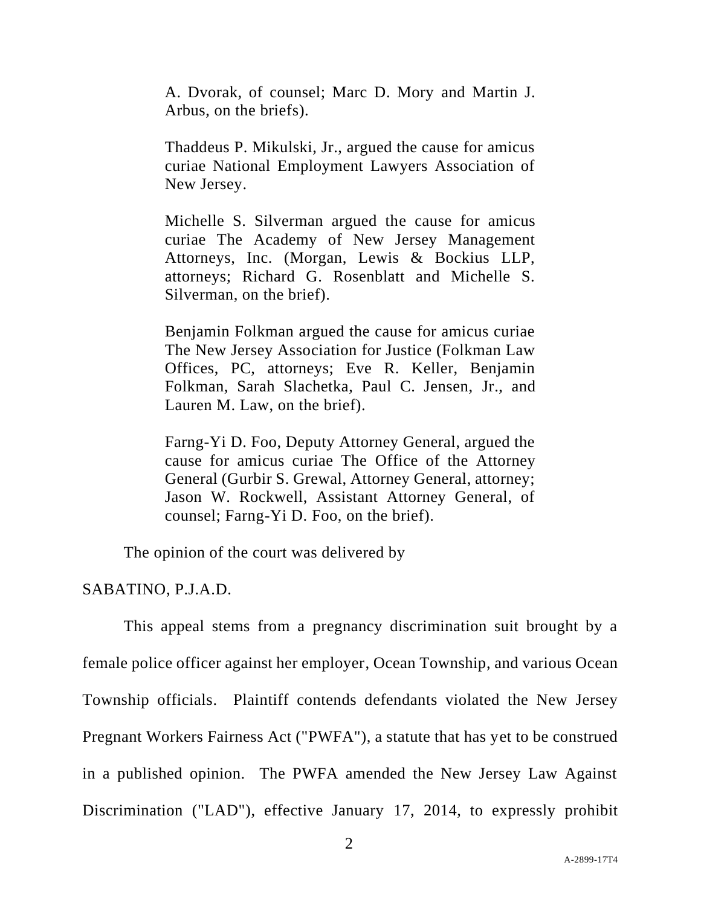A. Dvorak, of counsel; Marc D. Mory and Martin J. Arbus, on the briefs).

Thaddeus P. Mikulski, Jr., argued the cause for amicus curiae National Employment Lawyers Association of New Jersey.

Michelle S. Silverman argued the cause for amicus curiae The Academy of New Jersey Management Attorneys, Inc. (Morgan, Lewis & Bockius LLP, attorneys; Richard G. Rosenblatt and Michelle S. Silverman, on the brief).

Benjamin Folkman argued the cause for amicus curiae The New Jersey Association for Justice (Folkman Law Offices, PC, attorneys; Eve R. Keller, Benjamin Folkman, Sarah Slachetka, Paul C. Jensen, Jr., and Lauren M. Law, on the brief).

Farng-Yi D. Foo, Deputy Attorney General, argued the cause for amicus curiae The Office of the Attorney General (Gurbir S. Grewal, Attorney General, attorney; Jason W. Rockwell, Assistant Attorney General, of counsel; Farng-Yi D. Foo, on the brief).

The opinion of the court was delivered by

## SABATINO, P.J.A.D.

This appeal stems from a pregnancy discrimination suit brought by a female police officer against her employer, Ocean Township, and various Ocean Township officials. Plaintiff contends defendants violated the New Jersey Pregnant Workers Fairness Act ("PWFA"), a statute that has yet to be construed in a published opinion. The PWFA amended the New Jersey Law Against Discrimination ("LAD"), effective January 17, 2014, to expressly prohibit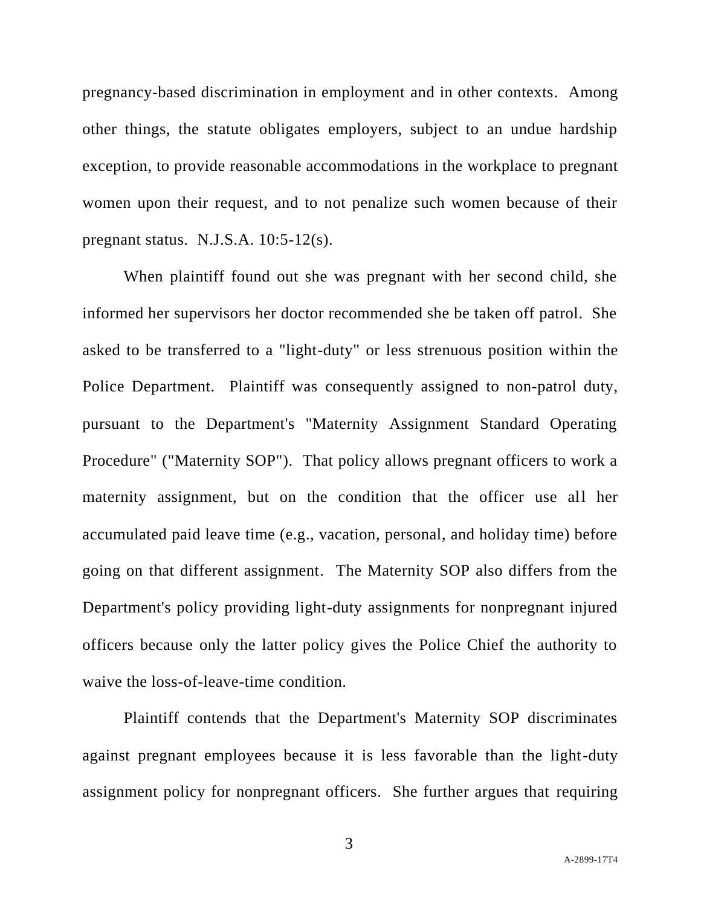pregnancy-based discrimination in employment and in other contexts. Among other things, the statute obligates employers, subject to an undue hardship exception, to provide reasonable accommodations in the workplace to pregnant women upon their request, and to not penalize such women because of their pregnant status. N.J.S.A. 10:5-12(s).

When plaintiff found out she was pregnant with her second child, she informed her supervisors her doctor recommended she be taken off patrol. She asked to be transferred to a "light-duty" or less strenuous position within the Police Department. Plaintiff was consequently assigned to non-patrol duty, pursuant to the Department's "Maternity Assignment Standard Operating Procedure" ("Maternity SOP"). That policy allows pregnant officers to work a maternity assignment, but on the condition that the officer use all her accumulated paid leave time (e.g., vacation, personal, and holiday time) before going on that different assignment. The Maternity SOP also differs from the Department's policy providing light-duty assignments for nonpregnant injured officers because only the latter policy gives the Police Chief the authority to waive the loss-of-leave-time condition.

Plaintiff contends that the Department's Maternity SOP discriminates against pregnant employees because it is less favorable than the light-duty assignment policy for nonpregnant officers. She further argues that requiring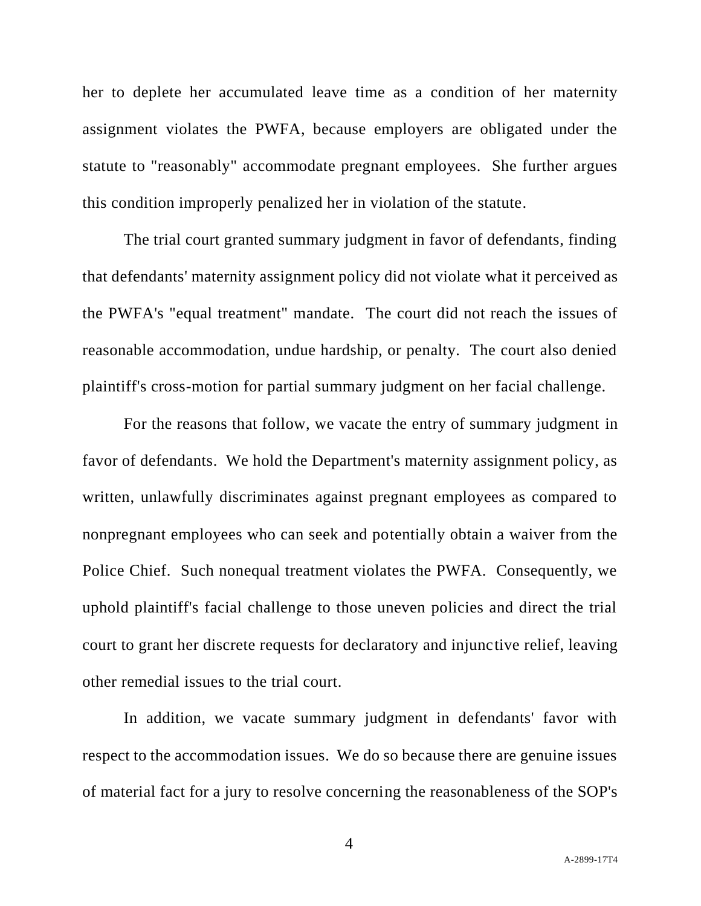her to deplete her accumulated leave time as a condition of her maternity assignment violates the PWFA, because employers are obligated under the statute to "reasonably" accommodate pregnant employees. She further argues this condition improperly penalized her in violation of the statute.

The trial court granted summary judgment in favor of defendants, finding that defendants' maternity assignment policy did not violate what it perceived as the PWFA's "equal treatment" mandate. The court did not reach the issues of reasonable accommodation, undue hardship, or penalty. The court also denied plaintiff's cross-motion for partial summary judgment on her facial challenge.

For the reasons that follow, we vacate the entry of summary judgment in favor of defendants. We hold the Department's maternity assignment policy, as written, unlawfully discriminates against pregnant employees as compared to nonpregnant employees who can seek and potentially obtain a waiver from the Police Chief. Such nonequal treatment violates the PWFA. Consequently, we uphold plaintiff's facial challenge to those uneven policies and direct the trial court to grant her discrete requests for declaratory and injunctive relief, leaving other remedial issues to the trial court.

In addition, we vacate summary judgment in defendants' favor with respect to the accommodation issues. We do so because there are genuine issues of material fact for a jury to resolve concerning the reasonableness of the SOP's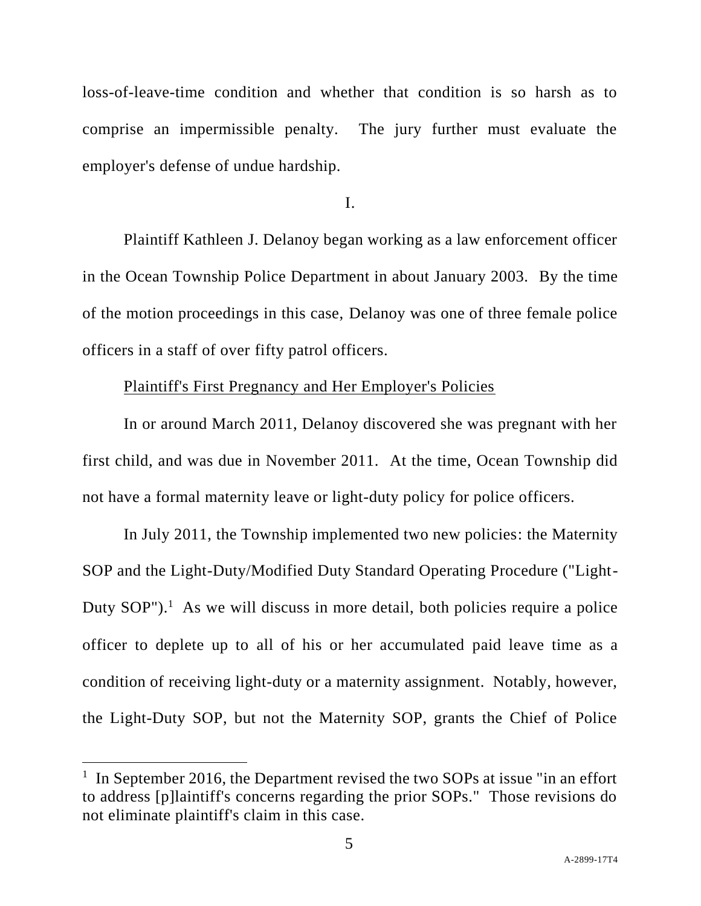loss-of-leave-time condition and whether that condition is so harsh as to comprise an impermissible penalty. The jury further must evaluate the employer's defense of undue hardship.

I.

Plaintiff Kathleen J. Delanoy began working as a law enforcement officer in the Ocean Township Police Department in about January 2003. By the time of the motion proceedings in this case, Delanoy was one of three female police officers in a staff of over fifty patrol officers.

# Plaintiff's First Pregnancy and Her Employer's Policies

In or around March 2011, Delanoy discovered she was pregnant with her first child, and was due in November 2011. At the time, Ocean Township did not have a formal maternity leave or light-duty policy for police officers.

In July 2011, the Township implemented two new policies: the Maternity SOP and the Light-Duty/Modified Duty Standard Operating Procedure ("Light-Duty  $SOP''$ ).<sup>1</sup> As we will discuss in more detail, both policies require a police officer to deplete up to all of his or her accumulated paid leave time as a condition of receiving light-duty or a maternity assignment. Notably, however, the Light-Duty SOP, but not the Maternity SOP, grants the Chief of Police

<sup>&</sup>lt;sup>1</sup> In September 2016, the Department revised the two SOPs at issue "in an effort to address [p]laintiff's concerns regarding the prior SOPs." Those revisions do not eliminate plaintiff's claim in this case.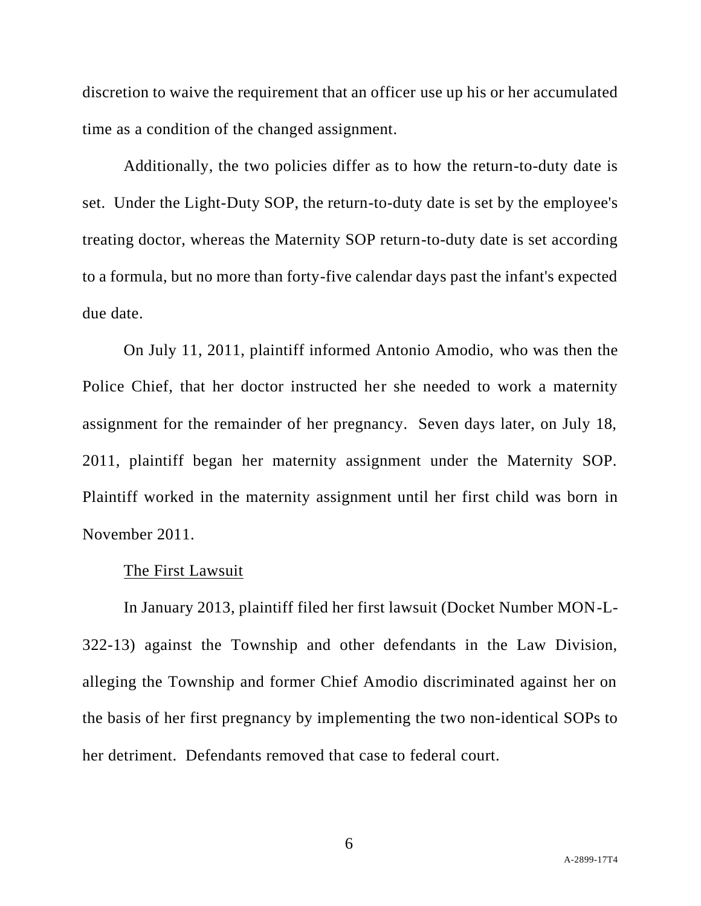discretion to waive the requirement that an officer use up his or her accumulated time as a condition of the changed assignment.

Additionally, the two policies differ as to how the return-to-duty date is set. Under the Light-Duty SOP, the return-to-duty date is set by the employee's treating doctor, whereas the Maternity SOP return-to-duty date is set according to a formula, but no more than forty-five calendar days past the infant's expected due date.

On July 11, 2011, plaintiff informed Antonio Amodio, who was then the Police Chief, that her doctor instructed her she needed to work a maternity assignment for the remainder of her pregnancy. Seven days later, on July 18, 2011, plaintiff began her maternity assignment under the Maternity SOP. Plaintiff worked in the maternity assignment until her first child was born in November 2011.

#### The First Lawsuit

In January 2013, plaintiff filed her first lawsuit (Docket Number MON-L-322-13) against the Township and other defendants in the Law Division, alleging the Township and former Chief Amodio discriminated against her on the basis of her first pregnancy by implementing the two non-identical SOPs to her detriment. Defendants removed that case to federal court.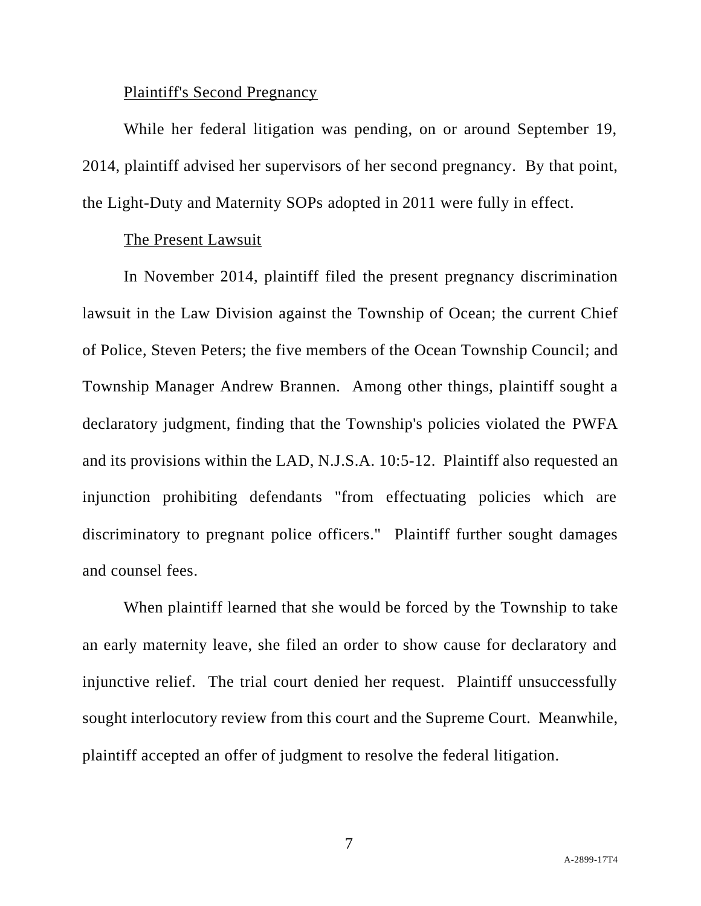## Plaintiff's Second Pregnancy

While her federal litigation was pending, on or around September 19, 2014, plaintiff advised her supervisors of her second pregnancy. By that point, the Light-Duty and Maternity SOPs adopted in 2011 were fully in effect.

## The Present Lawsuit

In November 2014, plaintiff filed the present pregnancy discrimination lawsuit in the Law Division against the Township of Ocean; the current Chief of Police, Steven Peters; the five members of the Ocean Township Council; and Township Manager Andrew Brannen. Among other things, plaintiff sought a declaratory judgment, finding that the Township's policies violated the PWFA and its provisions within the LAD, N.J.S.A. 10:5-12. Plaintiff also requested an injunction prohibiting defendants "from effectuating policies which are discriminatory to pregnant police officers." Plaintiff further sought damages and counsel fees.

When plaintiff learned that she would be forced by the Township to take an early maternity leave, she filed an order to show cause for declaratory and injunctive relief. The trial court denied her request. Plaintiff unsuccessfully sought interlocutory review from this court and the Supreme Court. Meanwhile, plaintiff accepted an offer of judgment to resolve the federal litigation.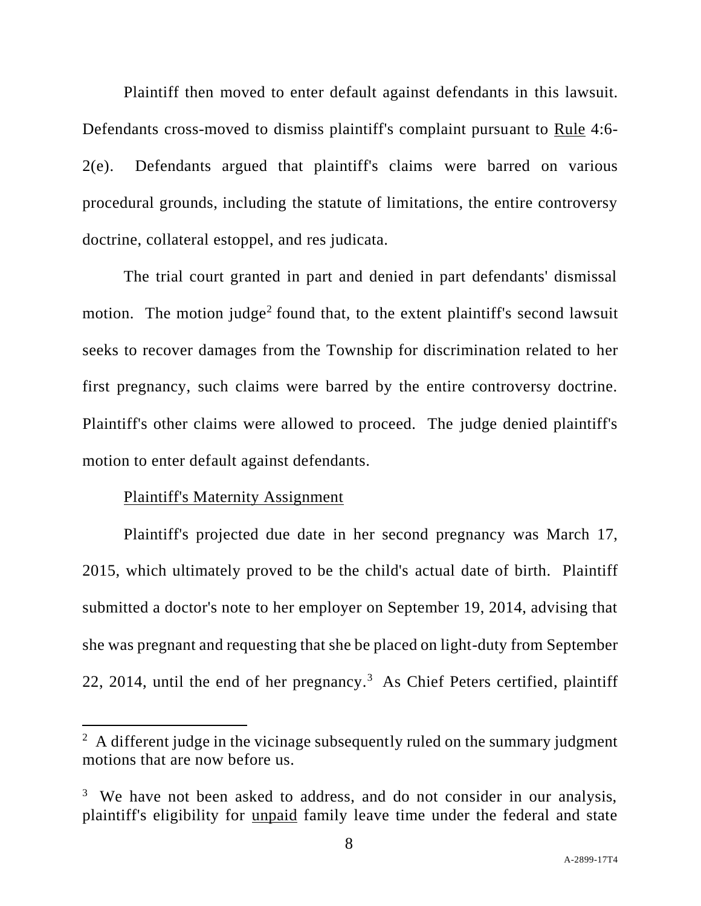Plaintiff then moved to enter default against defendants in this lawsuit. Defendants cross-moved to dismiss plaintiff's complaint pursuant to Rule 4:6- 2(e). Defendants argued that plaintiff's claims were barred on various procedural grounds, including the statute of limitations, the entire controversy doctrine, collateral estoppel, and res judicata.

The trial court granted in part and denied in part defendants' dismissal motion. The motion judge<sup>2</sup> found that, to the extent plaintiff's second lawsuit seeks to recover damages from the Township for discrimination related to her first pregnancy, such claims were barred by the entire controversy doctrine. Plaintiff's other claims were allowed to proceed. The judge denied plaintiff's motion to enter default against defendants.

## Plaintiff's Maternity Assignment

Plaintiff's projected due date in her second pregnancy was March 17, 2015, which ultimately proved to be the child's actual date of birth. Plaintiff submitted a doctor's note to her employer on September 19, 2014, advising that she was pregnant and requesting that she be placed on light-duty from September 22, 2014, until the end of her pregnancy.<sup>3</sup> As Chief Peters certified, plaintiff

 $2$  A different judge in the vicinage subsequently ruled on the summary judgment motions that are now before us.

<sup>&</sup>lt;sup>3</sup> We have not been asked to address, and do not consider in our analysis, plaintiff's eligibility for unpaid family leave time under the federal and state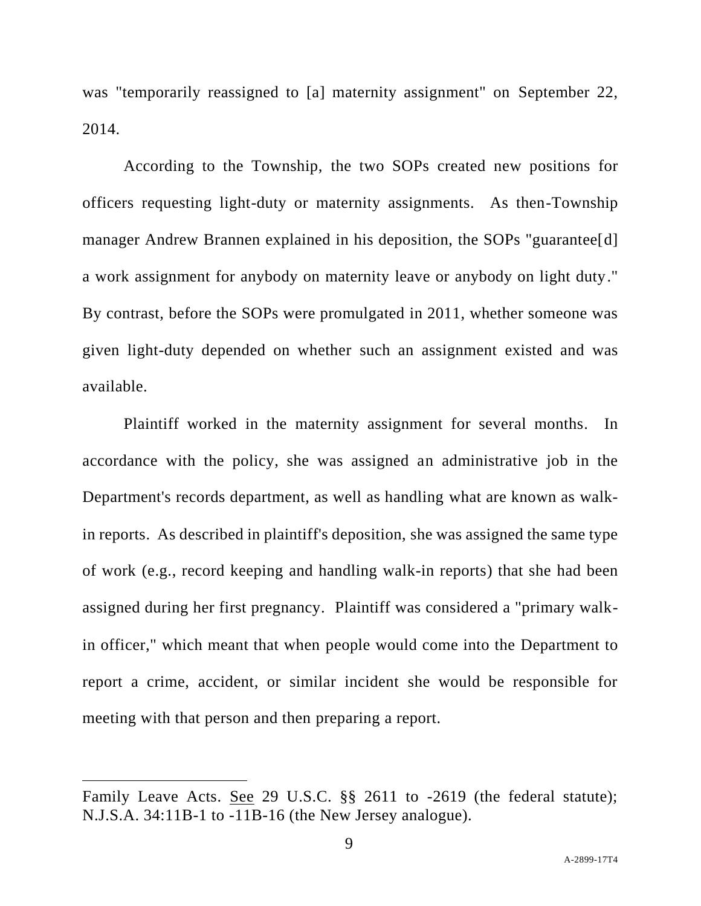was "temporarily reassigned to [a] maternity assignment" on September 22, 2014.

According to the Township, the two SOPs created new positions for officers requesting light-duty or maternity assignments. As then-Township manager Andrew Brannen explained in his deposition, the SOPs "guarantee[d] a work assignment for anybody on maternity leave or anybody on light duty." By contrast, before the SOPs were promulgated in 2011, whether someone was given light-duty depended on whether such an assignment existed and was available.

Plaintiff worked in the maternity assignment for several months. In accordance with the policy, she was assigned an administrative job in the Department's records department, as well as handling what are known as walkin reports. As described in plaintiff's deposition, she was assigned the same type of work (e.g., record keeping and handling walk-in reports) that she had been assigned during her first pregnancy. Plaintiff was considered a "primary walkin officer," which meant that when people would come into the Department to report a crime, accident, or similar incident she would be responsible for meeting with that person and then preparing a report.

Family Leave Acts. See 29 U.S.C. §§ 2611 to -2619 (the federal statute); N.J.S.A. 34:11B-1 to -11B-16 (the New Jersey analogue).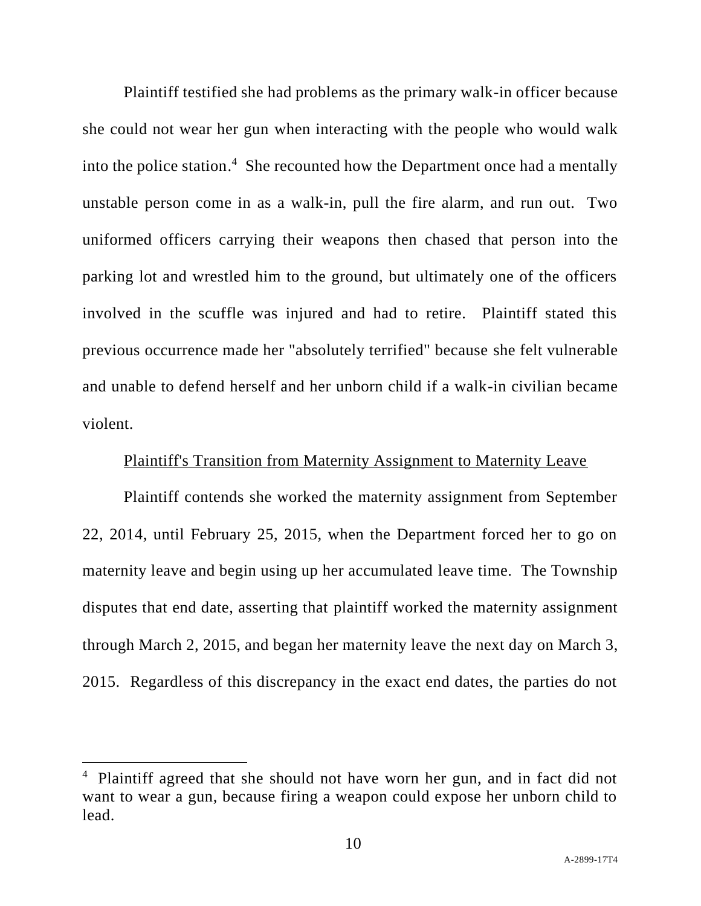Plaintiff testified she had problems as the primary walk-in officer because she could not wear her gun when interacting with the people who would walk into the police station. 4 She recounted how the Department once had a mentally unstable person come in as a walk-in, pull the fire alarm, and run out. Two uniformed officers carrying their weapons then chased that person into the parking lot and wrestled him to the ground, but ultimately one of the officers involved in the scuffle was injured and had to retire. Plaintiff stated this previous occurrence made her "absolutely terrified" because she felt vulnerable and unable to defend herself and her unborn child if a walk-in civilian became violent.

## Plaintiff's Transition from Maternity Assignment to Maternity Leave

Plaintiff contends she worked the maternity assignment from September 22, 2014, until February 25, 2015, when the Department forced her to go on maternity leave and begin using up her accumulated leave time. The Township disputes that end date, asserting that plaintiff worked the maternity assignment through March 2, 2015, and began her maternity leave the next day on March 3, 2015. Regardless of this discrepancy in the exact end dates, the parties do not

<sup>&</sup>lt;sup>4</sup> Plaintiff agreed that she should not have worn her gun, and in fact did not want to wear a gun, because firing a weapon could expose her unborn child to lead.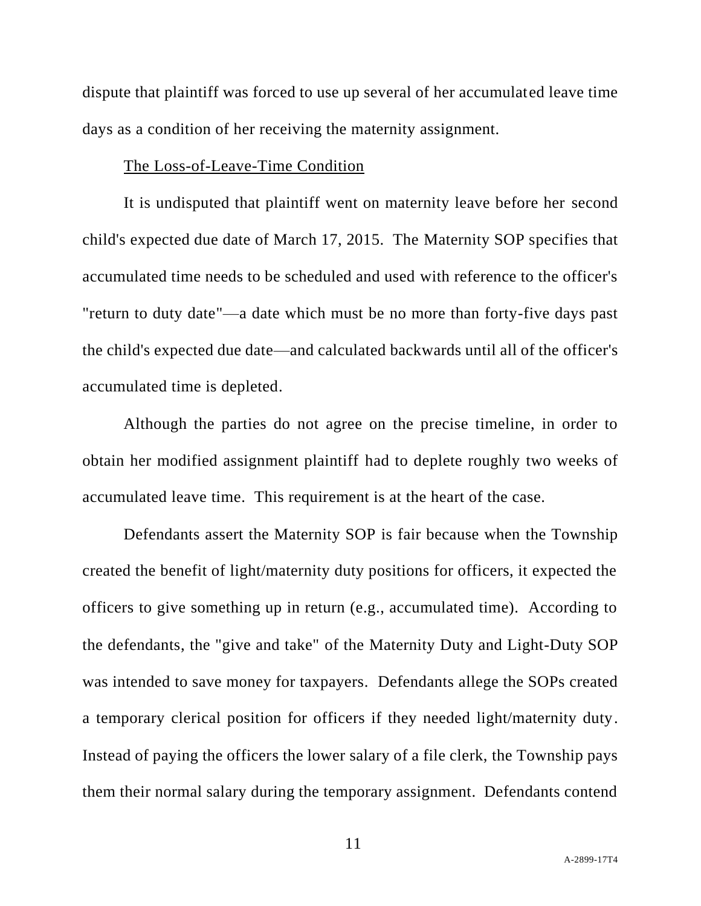dispute that plaintiff was forced to use up several of her accumulated leave time days as a condition of her receiving the maternity assignment.

## The Loss-of-Leave-Time Condition

It is undisputed that plaintiff went on maternity leave before her second child's expected due date of March 17, 2015. The Maternity SOP specifies that accumulated time needs to be scheduled and used with reference to the officer's "return to duty date"—a date which must be no more than forty-five days past the child's expected due date—and calculated backwards until all of the officer's accumulated time is depleted.

Although the parties do not agree on the precise timeline, in order to obtain her modified assignment plaintiff had to deplete roughly two weeks of accumulated leave time. This requirement is at the heart of the case.

Defendants assert the Maternity SOP is fair because when the Township created the benefit of light/maternity duty positions for officers, it expected the officers to give something up in return (e.g., accumulated time). According to the defendants, the "give and take" of the Maternity Duty and Light-Duty SOP was intended to save money for taxpayers. Defendants allege the SOPs created a temporary clerical position for officers if they needed light/maternity duty. Instead of paying the officers the lower salary of a file clerk, the Township pays them their normal salary during the temporary assignment. Defendants contend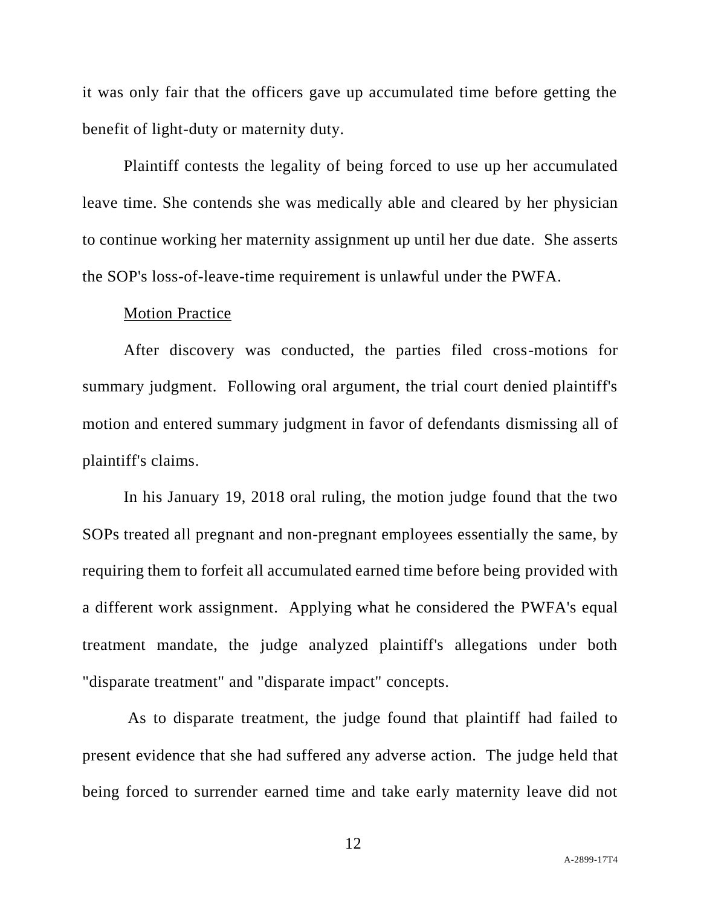it was only fair that the officers gave up accumulated time before getting the benefit of light-duty or maternity duty.

Plaintiff contests the legality of being forced to use up her accumulated leave time. She contends she was medically able and cleared by her physician to continue working her maternity assignment up until her due date. She asserts the SOP's loss-of-leave-time requirement is unlawful under the PWFA.

#### Motion Practice

After discovery was conducted, the parties filed cross-motions for summary judgment. Following oral argument, the trial court denied plaintiff's motion and entered summary judgment in favor of defendants dismissing all of plaintiff's claims.

In his January 19, 2018 oral ruling, the motion judge found that the two SOPs treated all pregnant and non-pregnant employees essentially the same, by requiring them to forfeit all accumulated earned time before being provided with a different work assignment. Applying what he considered the PWFA's equal treatment mandate, the judge analyzed plaintiff's allegations under both "disparate treatment" and "disparate impact" concepts.

As to disparate treatment, the judge found that plaintiff had failed to present evidence that she had suffered any adverse action. The judge held that being forced to surrender earned time and take early maternity leave did not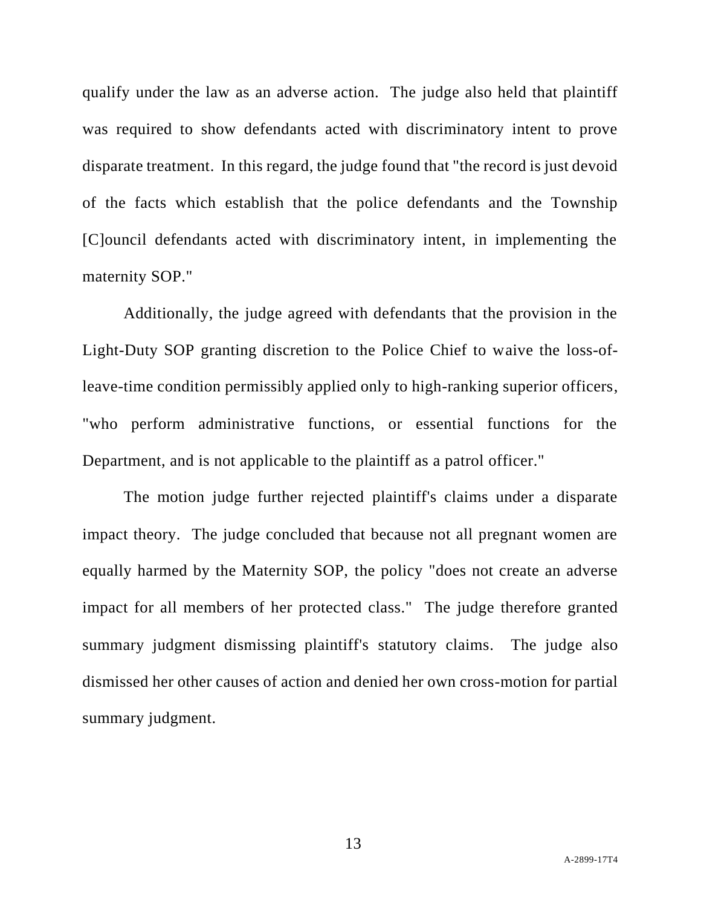qualify under the law as an adverse action. The judge also held that plaintiff was required to show defendants acted with discriminatory intent to prove disparate treatment. In this regard, the judge found that "the record is just devoid of the facts which establish that the police defendants and the Township [C]ouncil defendants acted with discriminatory intent, in implementing the maternity SOP."

Additionally, the judge agreed with defendants that the provision in the Light-Duty SOP granting discretion to the Police Chief to waive the loss-ofleave-time condition permissibly applied only to high-ranking superior officers, "who perform administrative functions, or essential functions for the Department, and is not applicable to the plaintiff as a patrol officer."

The motion judge further rejected plaintiff's claims under a disparate impact theory. The judge concluded that because not all pregnant women are equally harmed by the Maternity SOP, the policy "does not create an adverse impact for all members of her protected class." The judge therefore granted summary judgment dismissing plaintiff's statutory claims. The judge also dismissed her other causes of action and denied her own cross-motion for partial summary judgment.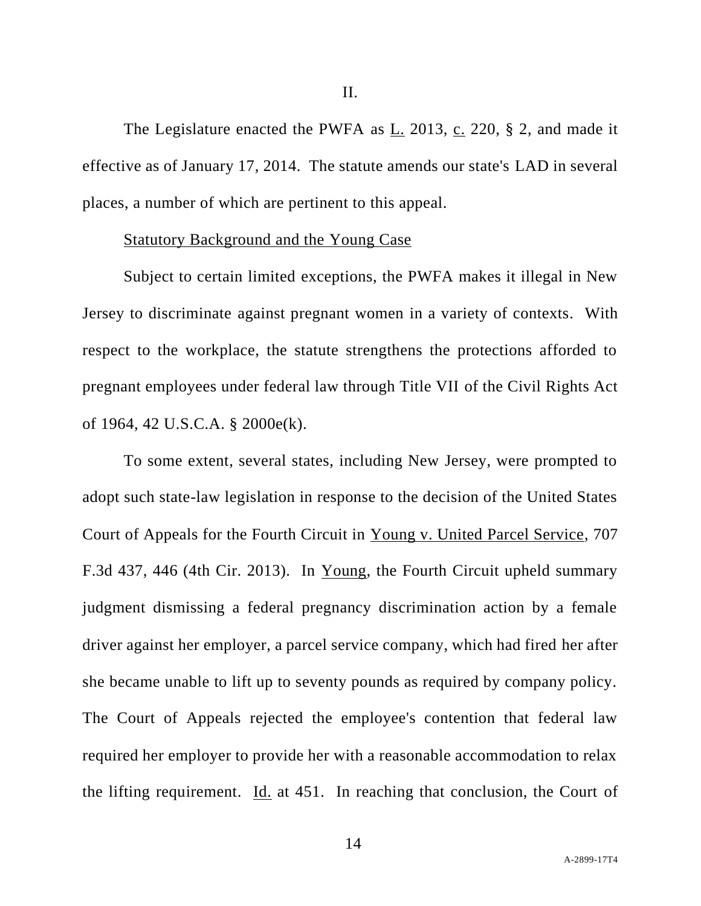The Legislature enacted the PWFA as  $L_2$  2013,  $c_2$  220, § 2, and made it effective as of January 17, 2014. The statute amends our state's LAD in several places, a number of which are pertinent to this appeal.

## Statutory Background and the Young Case

Subject to certain limited exceptions, the PWFA makes it illegal in New Jersey to discriminate against pregnant women in a variety of contexts. With respect to the workplace, the statute strengthens the protections afforded to pregnant employees under federal law through Title VII of the Civil Rights Act of 1964, 42 U.S.C.A. § 2000e(k).

To some extent, several states, including New Jersey, were prompted to adopt such state-law legislation in response to the decision of the United States Court of Appeals for the Fourth Circuit in Young v. United Parcel Service, 707 F.3d 437, 446 (4th Cir. 2013). In Young, the Fourth Circuit upheld summary judgment dismissing a federal pregnancy discrimination action by a female driver against her employer, a parcel service company, which had fired her after she became unable to lift up to seventy pounds as required by company policy. The Court of Appeals rejected the employee's contention that federal law required her employer to provide her with a reasonable accommodation to relax the lifting requirement. Id. at 451. In reaching that conclusion, the Court of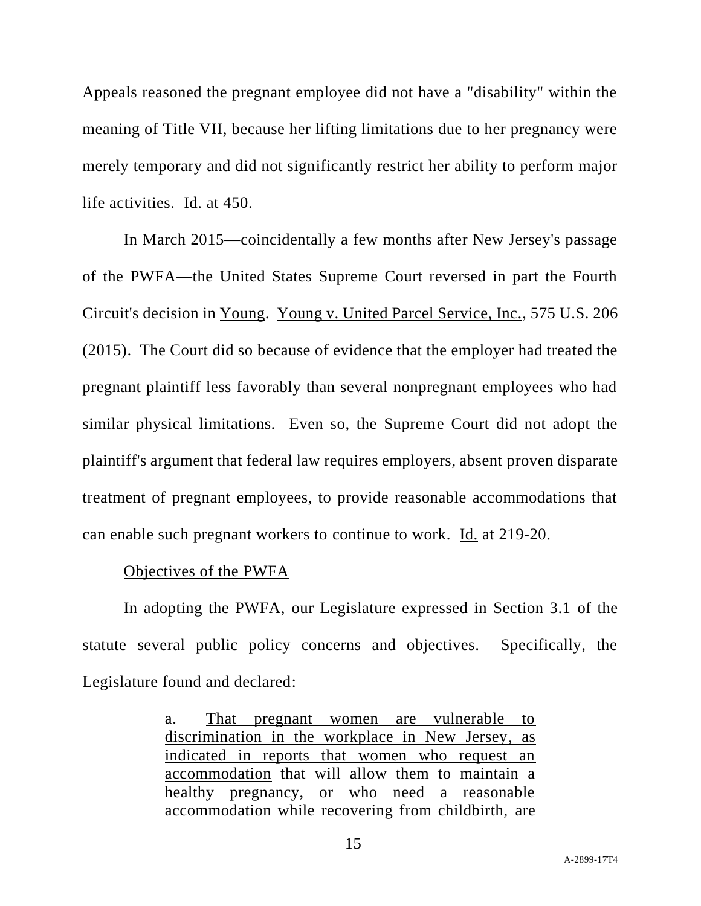Appeals reasoned the pregnant employee did not have a "disability" within the meaning of Title VII, because her lifting limitations due to her pregnancy were merely temporary and did not significantly restrict her ability to perform major life activities. Id. at 450.

In March 2015—coincidentally a few months after New Jersey's passage of the PWFA—the United States Supreme Court reversed in part the Fourth Circuit's decision in Young. Young v. United Parcel Service, Inc., 575 U.S. 206 (2015). The Court did so because of evidence that the employer had treated the pregnant plaintiff less favorably than several nonpregnant employees who had similar physical limitations. Even so, the Supreme Court did not adopt the plaintiff's argument that federal law requires employers, absent proven disparate treatment of pregnant employees, to provide reasonable accommodations that can enable such pregnant workers to continue to work. Id. at 219-20.

#### Objectives of the PWFA

In adopting the PWFA, our Legislature expressed in Section 3.1 of the statute several public policy concerns and objectives. Specifically, the Legislature found and declared:

> a. That pregnant women are vulnerable to discrimination in the workplace in New Jersey, as indicated in reports that women who request an accommodation that will allow them to maintain a healthy pregnancy, or who need a reasonable accommodation while recovering from childbirth, are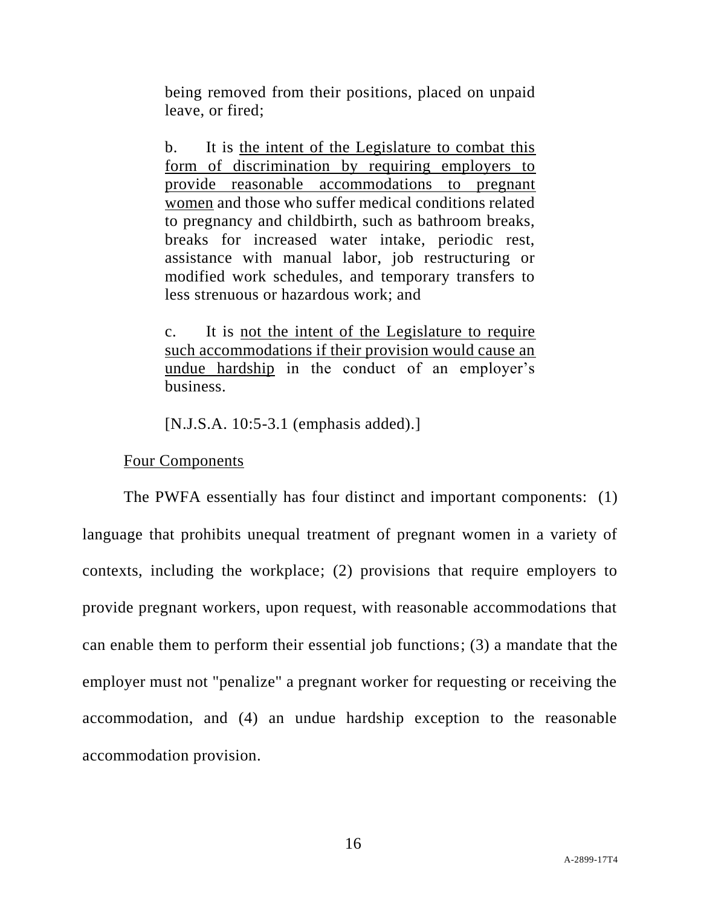being removed from their positions, placed on unpaid leave, or fired;

b. It is the intent of the Legislature to combat this form of discrimination by requiring employers to provide reasonable accommodations to pregnant women and those who suffer medical conditions related to pregnancy and childbirth, such as bathroom breaks, breaks for increased water intake, periodic rest, assistance with manual labor, job restructuring or modified work schedules, and temporary transfers to less strenuous or hazardous work; and

c. It is not the intent of the Legislature to require such accommodations if their provision would cause an undue hardship in the conduct of an employer's business.

[N.J.S.A. 10:5-3.1 (emphasis added).]

Four Components

The PWFA essentially has four distinct and important components: (1) language that prohibits unequal treatment of pregnant women in a variety of contexts, including the workplace; (2) provisions that require employers to provide pregnant workers, upon request, with reasonable accommodations that can enable them to perform their essential job functions; (3) a mandate that the employer must not "penalize" a pregnant worker for requesting or receiving the accommodation, and (4) an undue hardship exception to the reasonable accommodation provision.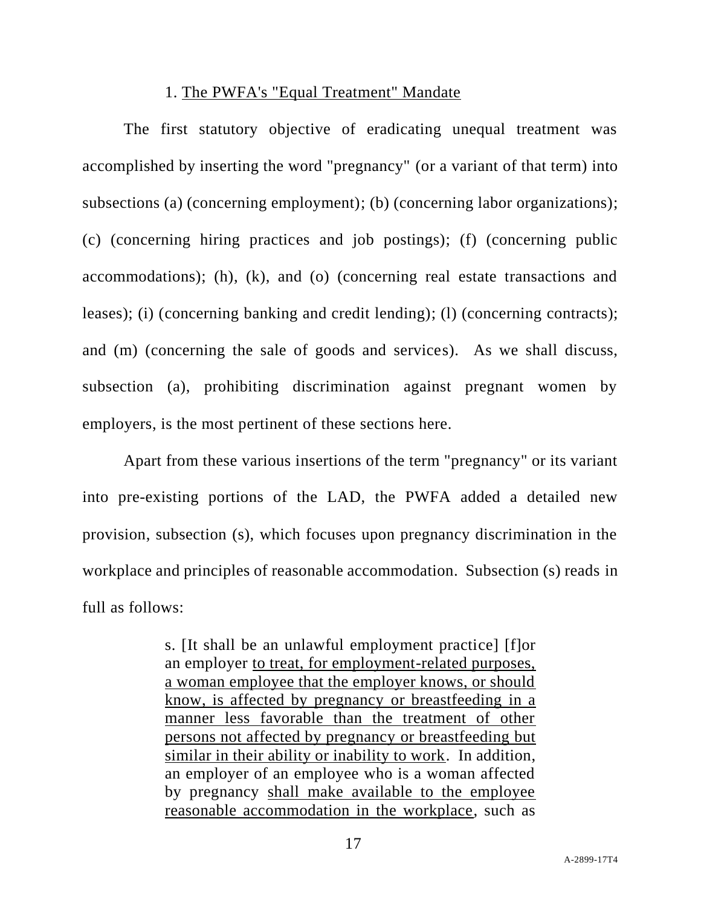## 1. The PWFA's "Equal Treatment" Mandate

The first statutory objective of eradicating unequal treatment was accomplished by inserting the word "pregnancy" (or a variant of that term) into subsections (a) (concerning employment); (b) (concerning labor organizations); (c) (concerning hiring practices and job postings); (f) (concerning public accommodations); (h), (k), and (o) (concerning real estate transactions and leases); (i) (concerning banking and credit lending); (l) (concerning contracts); and (m) (concerning the sale of goods and services). As we shall discuss, subsection (a), prohibiting discrimination against pregnant women by employers, is the most pertinent of these sections here.

Apart from these various insertions of the term "pregnancy" or its variant into pre-existing portions of the LAD, the PWFA added a detailed new provision, subsection (s), which focuses upon pregnancy discrimination in the workplace and principles of reasonable accommodation. Subsection (s) reads in full as follows:

> s. [It shall be an unlawful employment practice] [f]or an employer to treat, for employment-related purposes, a woman employee that the employer knows, or should know, is affected by pregnancy or breastfeeding in a manner less favorable than the treatment of other persons not affected by pregnancy or breastfeeding but similar in their ability or inability to work. In addition, an employer of an employee who is a woman affected by pregnancy shall make available to the employee reasonable accommodation in the workplace, such as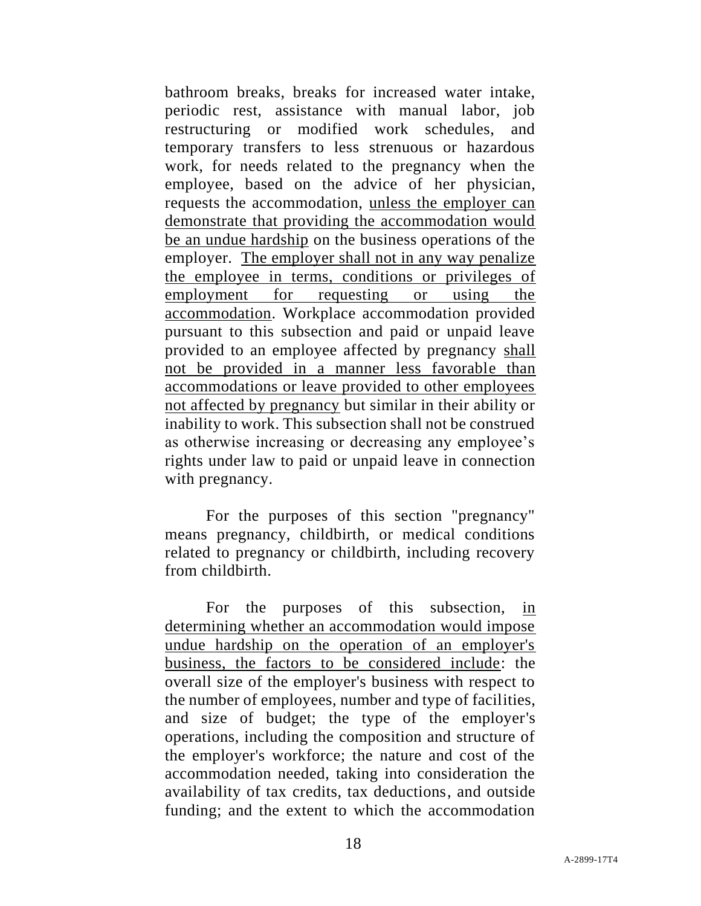bathroom breaks, breaks for increased water intake, periodic rest, assistance with manual labor, job restructuring or modified work schedules, and temporary transfers to less strenuous or hazardous work, for needs related to the pregnancy when the employee, based on the advice of her physician, requests the accommodation, unless the employer can demonstrate that providing the accommodation would be an undue hardship on the business operations of the employer. The employer shall not in any way penalize the employee in terms, conditions or privileges of employment for requesting or using the accommodation. Workplace accommodation provided pursuant to this subsection and paid or unpaid leave provided to an employee affected by pregnancy shall not be provided in a manner less favorable than accommodations or leave provided to other employees not affected by pregnancy but similar in their ability or inability to work. This subsection shall not be construed as otherwise increasing or decreasing any employee's rights under law to paid or unpaid leave in connection with pregnancy.

For the purposes of this section "pregnancy" means pregnancy, childbirth, or medical conditions related to pregnancy or childbirth, including recovery from childbirth.

For the purposes of this subsection, in determining whether an accommodation would impose undue hardship on the operation of an employer's business, the factors to be considered include: the overall size of the employer's business with respect to the number of employees, number and type of facilities, and size of budget; the type of the employer's operations, including the composition and structure of the employer's workforce; the nature and cost of the accommodation needed, taking into consideration the availability of tax credits, tax deductions, and outside funding; and the extent to which the accommodation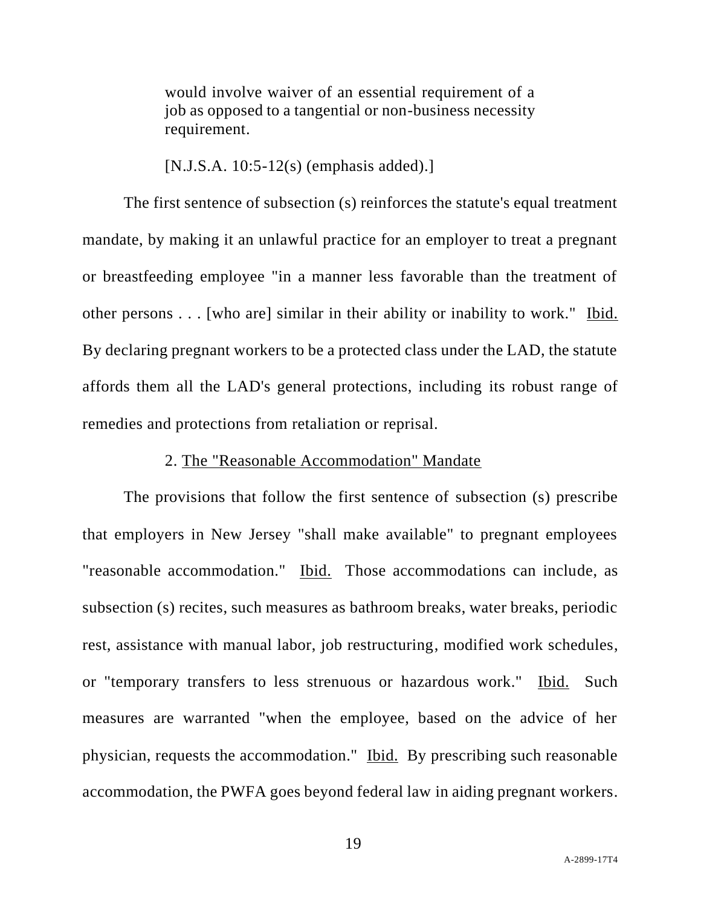would involve waiver of an essential requirement of a job as opposed to a tangential or non-business necessity requirement.

[N.J.S.A. 10:5-12(s) (emphasis added).]

The first sentence of subsection (s) reinforces the statute's equal treatment mandate, by making it an unlawful practice for an employer to treat a pregnant or breastfeeding employee "in a manner less favorable than the treatment of other persons . . . [who are] similar in their ability or inability to work." Ibid. By declaring pregnant workers to be a protected class under the LAD, the statute affords them all the LAD's general protections, including its robust range of remedies and protections from retaliation or reprisal.

## 2. The "Reasonable Accommodation" Mandate

The provisions that follow the first sentence of subsection (s) prescribe that employers in New Jersey "shall make available" to pregnant employees "reasonable accommodation." Ibid. Those accommodations can include, as subsection (s) recites, such measures as bathroom breaks, water breaks, periodic rest, assistance with manual labor, job restructuring, modified work schedules, or "temporary transfers to less strenuous or hazardous work." Ibid. Such measures are warranted "when the employee, based on the advice of her physician, requests the accommodation." Ibid. By prescribing such reasonable accommodation, the PWFA goes beyond federal law in aiding pregnant workers.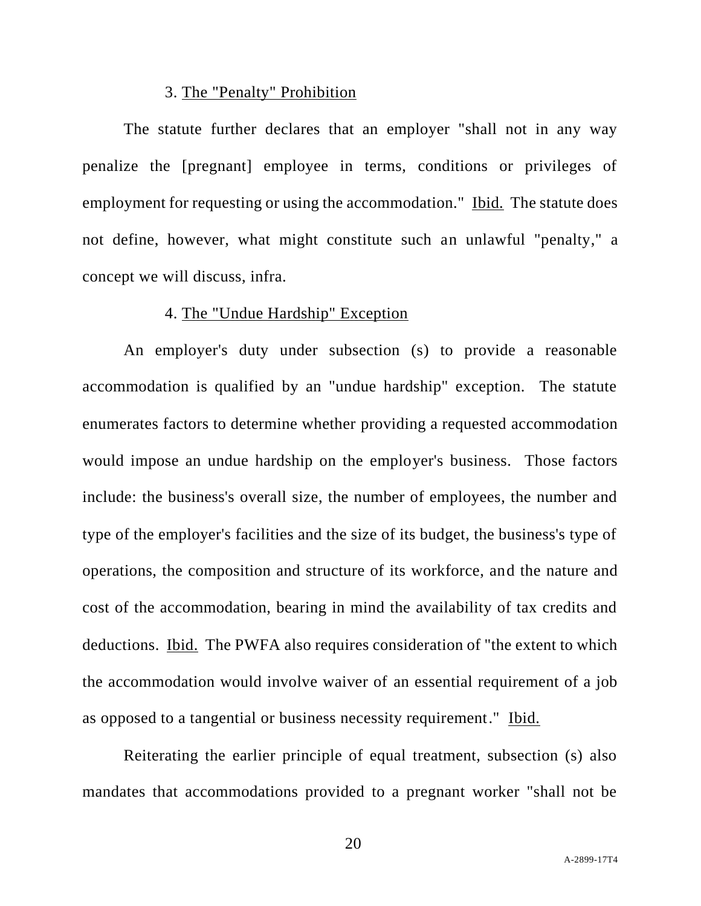## 3. The "Penalty" Prohibition

The statute further declares that an employer "shall not in any way penalize the [pregnant] employee in terms, conditions or privileges of employment for requesting or using the accommodation." Ibid. The statute does not define, however, what might constitute such an unlawful "penalty," a concept we will discuss, infra.

# 4. The "Undue Hardship" Exception

An employer's duty under subsection (s) to provide a reasonable accommodation is qualified by an "undue hardship" exception. The statute enumerates factors to determine whether providing a requested accommodation would impose an undue hardship on the employer's business. Those factors include: the business's overall size, the number of employees, the number and type of the employer's facilities and the size of its budget, the business's type of operations, the composition and structure of its workforce, and the nature and cost of the accommodation, bearing in mind the availability of tax credits and deductions. Ibid. The PWFA also requires consideration of "the extent to which the accommodation would involve waiver of an essential requirement of a job as opposed to a tangential or business necessity requirement." Ibid.

Reiterating the earlier principle of equal treatment, subsection (s) also mandates that accommodations provided to a pregnant worker "shall not be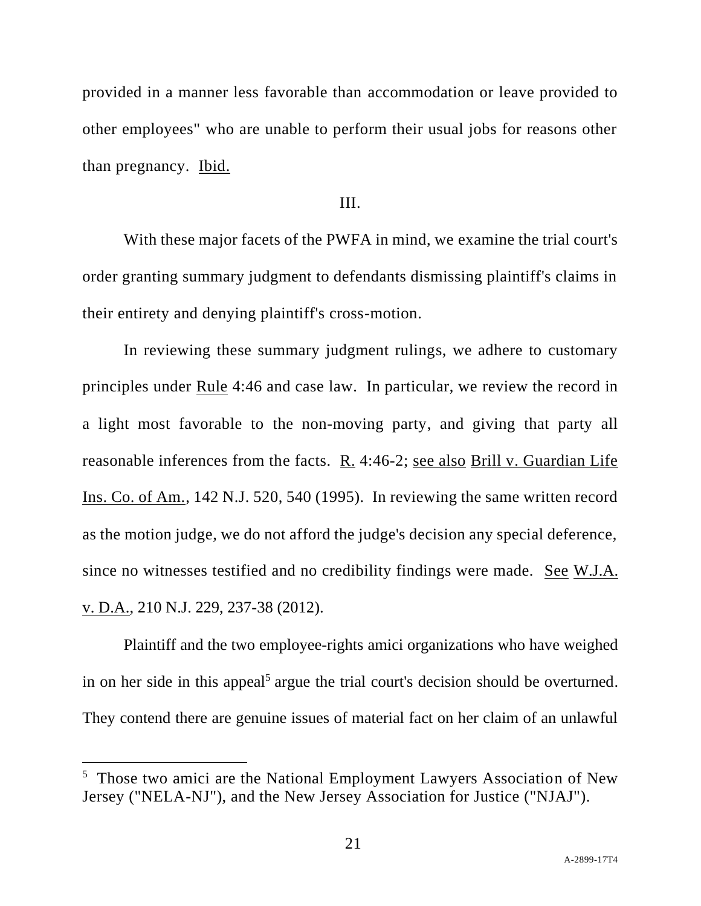provided in a manner less favorable than accommodation or leave provided to other employees" who are unable to perform their usual jobs for reasons other than pregnancy. Ibid.

## III.

With these major facets of the PWFA in mind, we examine the trial court's order granting summary judgment to defendants dismissing plaintiff's claims in their entirety and denying plaintiff's cross-motion.

In reviewing these summary judgment rulings, we adhere to customary principles under Rule 4:46 and case law. In particular, we review the record in a light most favorable to the non-moving party, and giving that party all reasonable inferences from the facts. R. 4:46-2; see also Brill v. Guardian Life Ins. Co. of Am., 142 N.J. 520, 540 (1995). In reviewing the same written record as the motion judge, we do not afford the judge's decision any special deference, since no witnesses testified and no credibility findings were made. <u>See W.J.A.</u> v. D.A., 210 N.J. 229, 237-38 (2012).

Plaintiff and the two employee-rights amici organizations who have weighed in on her side in this appeal<sup>5</sup> argue the trial court's decision should be overturned. They contend there are genuine issues of material fact on her claim of an unlawful

<sup>&</sup>lt;sup>5</sup> Those two amici are the National Employment Lawyers Association of New Jersey ("NELA-NJ"), and the New Jersey Association for Justice ("NJAJ").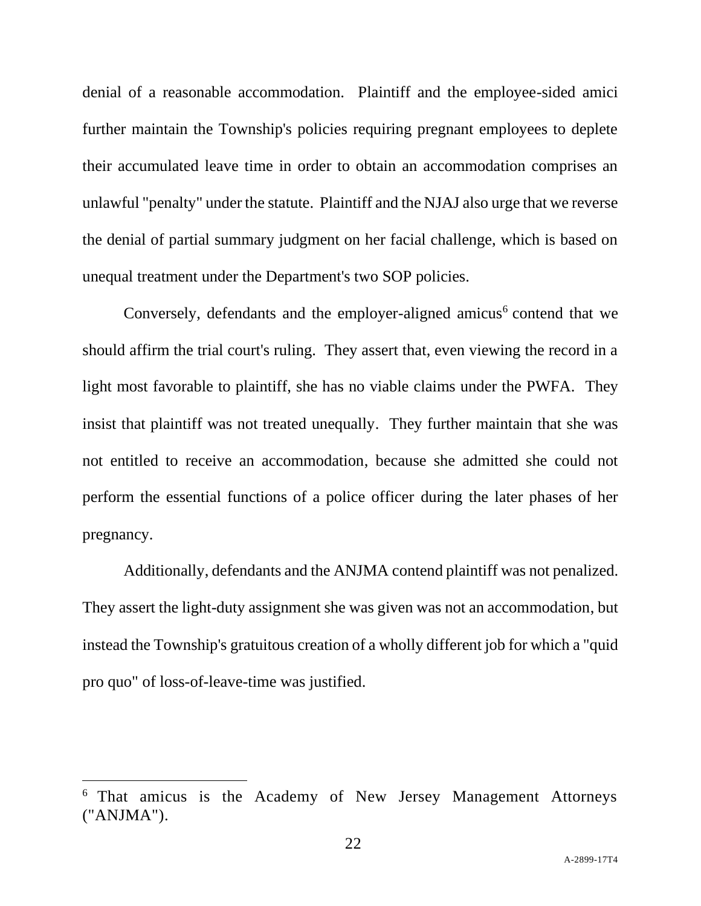denial of a reasonable accommodation. Plaintiff and the employee-sided amici further maintain the Township's policies requiring pregnant employees to deplete their accumulated leave time in order to obtain an accommodation comprises an unlawful "penalty" under the statute. Plaintiff and the NJAJ also urge that we reverse the denial of partial summary judgment on her facial challenge, which is based on unequal treatment under the Department's two SOP policies.

Conversely, defendants and the employer-aligned amicus<sup>6</sup> contend that we should affirm the trial court's ruling. They assert that, even viewing the record in a light most favorable to plaintiff, she has no viable claims under the PWFA. They insist that plaintiff was not treated unequally. They further maintain that she was not entitled to receive an accommodation, because she admitted she could not perform the essential functions of a police officer during the later phases of her pregnancy.

Additionally, defendants and the ANJMA contend plaintiff was not penalized. They assert the light-duty assignment she was given was not an accommodation, but instead the Township's gratuitous creation of a wholly different job for which a "quid pro quo" of loss-of-leave-time was justified.

<sup>6</sup> That amicus is the Academy of New Jersey Management Attorneys ("ANJMA").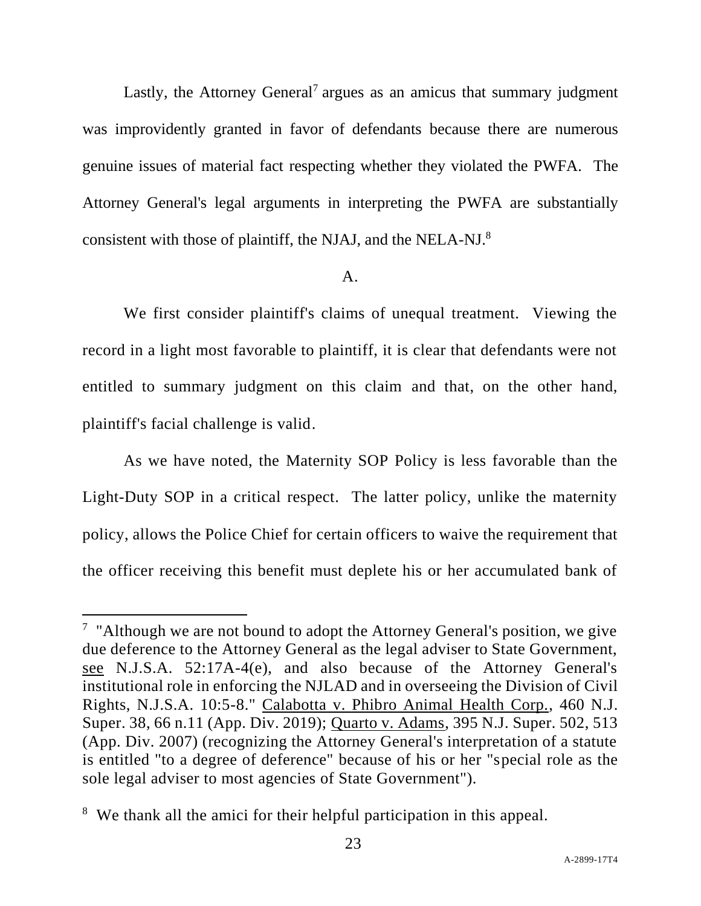Lastly, the Attorney General<sup>7</sup> argues as an amicus that summary judgment was improvidently granted in favor of defendants because there are numerous genuine issues of material fact respecting whether they violated the PWFA. The Attorney General's legal arguments in interpreting the PWFA are substantially consistent with those of plaintiff, the NJAJ, and the NELA-NJ.<sup>8</sup>

## A.

We first consider plaintiff's claims of unequal treatment. Viewing the record in a light most favorable to plaintiff, it is clear that defendants were not entitled to summary judgment on this claim and that, on the other hand, plaintiff's facial challenge is valid.

As we have noted, the Maternity SOP Policy is less favorable than the Light-Duty SOP in a critical respect. The latter policy, unlike the maternity policy, allows the Police Chief for certain officers to waive the requirement that the officer receiving this benefit must deplete his or her accumulated bank of

<sup>&</sup>lt;sup>7</sup> "Although we are not bound to adopt the Attorney General's position, we give due deference to the Attorney General as the legal adviser to State Government, see N.J.S.A. 52:17A-4(e), and also because of the Attorney General's institutional role in enforcing the NJLAD and in overseeing the Division of Civil Rights, N.J.S.A. 10:5-8." Calabotta v. Phibro Animal Health Corp., 460 N.J. Super. 38, 66 n.11 (App. Div. 2019); Quarto v. Adams, 395 N.J. Super. 502, 513 (App. Div. 2007) (recognizing the Attorney General's interpretation of a statute is entitled "to a degree of deference" because of his or her "special role as the sole legal adviser to most agencies of State Government").

<sup>8</sup> We thank all the amici for their helpful participation in this appeal.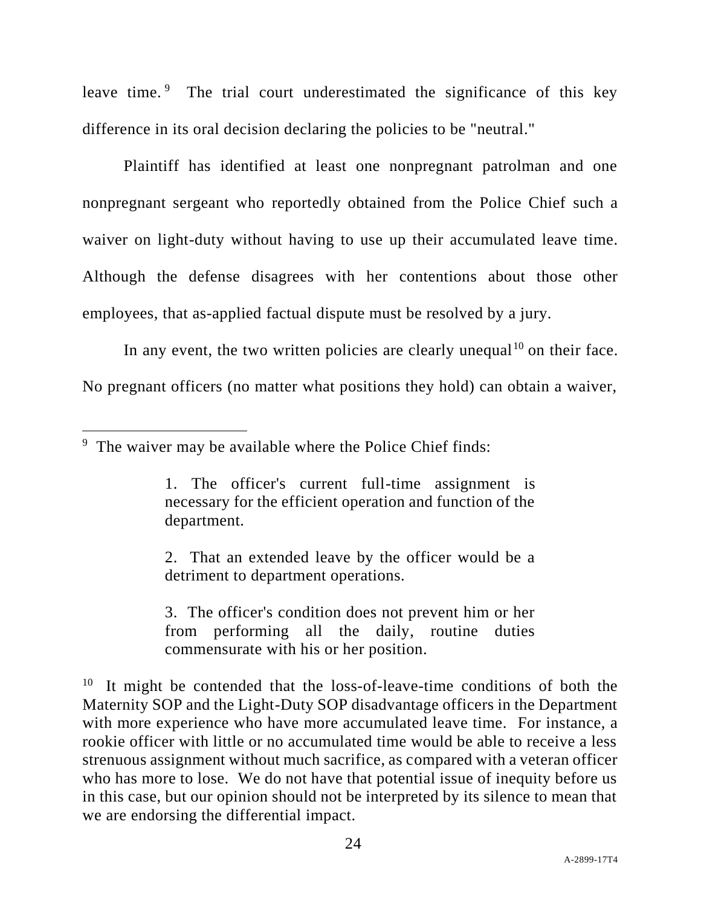leave time.<sup>9</sup> The trial court underestimated the significance of this key difference in its oral decision declaring the policies to be "neutral."

Plaintiff has identified at least one nonpregnant patrolman and one nonpregnant sergeant who reportedly obtained from the Police Chief such a waiver on light-duty without having to use up their accumulated leave time. Although the defense disagrees with her contentions about those other employees, that as-applied factual dispute must be resolved by a jury.

In any event, the two written policies are clearly unequal  $10$  on their face. No pregnant officers (no matter what positions they hold) can obtain a waiver,

2. That an extended leave by the officer would be a detriment to department operations.

3. The officer's condition does not prevent him or her from performing all the daily, routine duties commensurate with his or her position.

 $10$  It might be contended that the loss-of-leave-time conditions of both the Maternity SOP and the Light-Duty SOP disadvantage officers in the Department with more experience who have more accumulated leave time. For instance, a rookie officer with little or no accumulated time would be able to receive a less strenuous assignment without much sacrifice, as compared with a veteran officer who has more to lose. We do not have that potential issue of inequity before us in this case, but our opinion should not be interpreted by its silence to mean that we are endorsing the differential impact.

<sup>9</sup> The waiver may be available where the Police Chief finds:

<sup>1.</sup> The officer's current full-time assignment is necessary for the efficient operation and function of the department.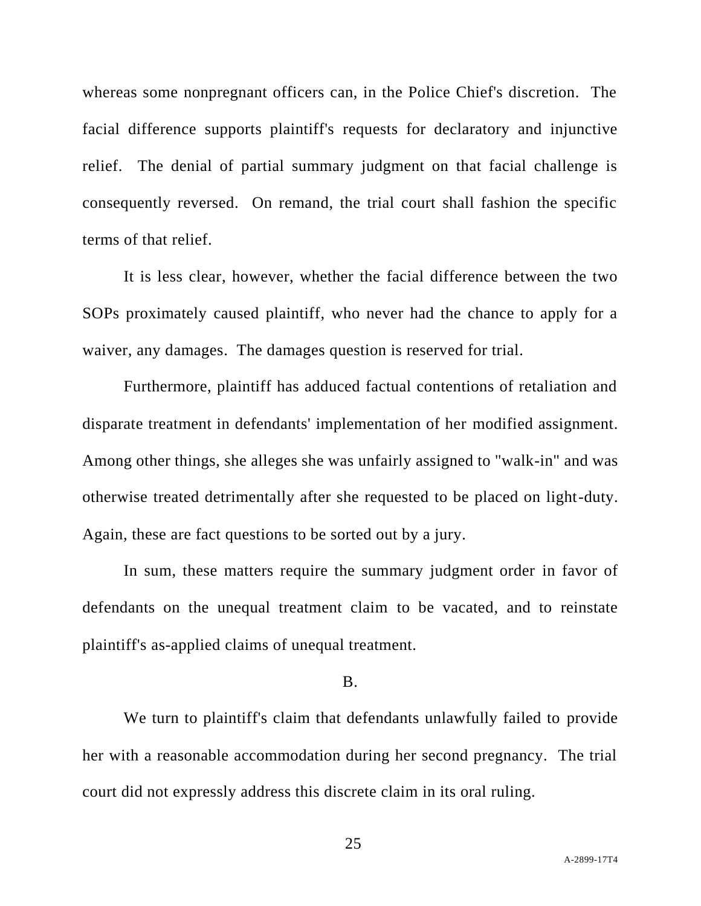whereas some nonpregnant officers can, in the Police Chief's discretion. The facial difference supports plaintiff's requests for declaratory and injunctive relief. The denial of partial summary judgment on that facial challenge is consequently reversed. On remand, the trial court shall fashion the specific terms of that relief.

It is less clear, however, whether the facial difference between the two SOPs proximately caused plaintiff, who never had the chance to apply for a waiver, any damages. The damages question is reserved for trial.

Furthermore, plaintiff has adduced factual contentions of retaliation and disparate treatment in defendants' implementation of her modified assignment. Among other things, she alleges she was unfairly assigned to "walk-in" and was otherwise treated detrimentally after she requested to be placed on light-duty. Again, these are fact questions to be sorted out by a jury.

In sum, these matters require the summary judgment order in favor of defendants on the unequal treatment claim to be vacated, and to reinstate plaintiff's as-applied claims of unequal treatment.

#### B.

We turn to plaintiff's claim that defendants unlawfully failed to provide her with a reasonable accommodation during her second pregnancy. The trial court did not expressly address this discrete claim in its oral ruling.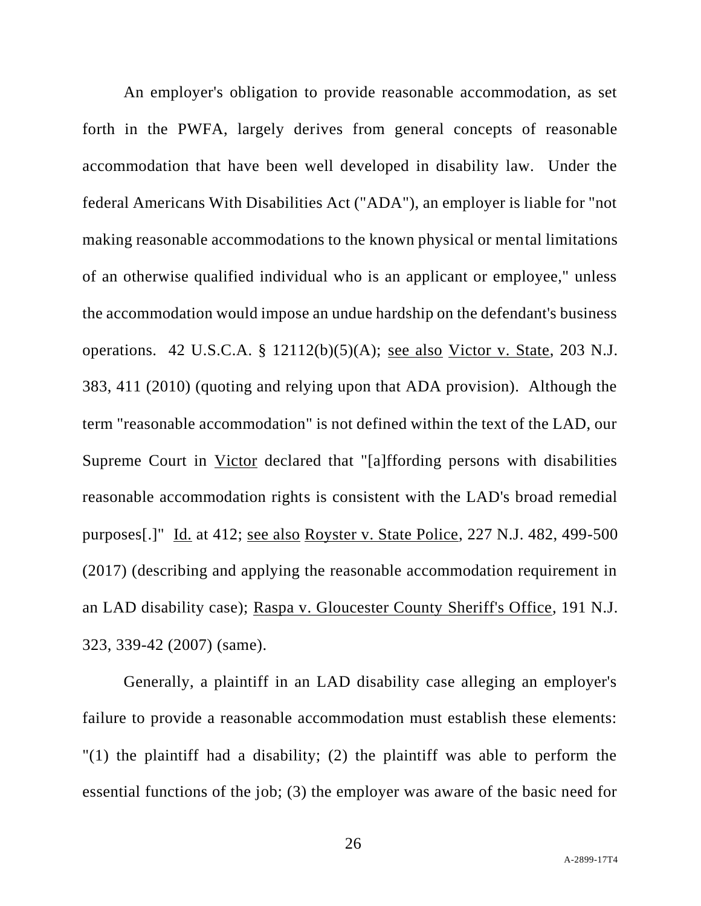An employer's obligation to provide reasonable accommodation, as set forth in the PWFA, largely derives from general concepts of reasonable accommodation that have been well developed in disability law. Under the federal Americans With Disabilities Act ("ADA"), an employer is liable for "not making reasonable accommodations to the known physical or mental limitations of an otherwise qualified individual who is an applicant or employee," unless the accommodation would impose an undue hardship on the defendant's business operations. 42 U.S.C.A. § 12112(b)(5)(A); see also Victor v. State, 203 N.J. 383, 411 (2010) (quoting and relying upon that ADA provision). Although the term "reasonable accommodation" is not defined within the text of the LAD, our Supreme Court in Victor declared that "[a]ffording persons with disabilities reasonable accommodation rights is consistent with the LAD's broad remedial purposes[.]" Id. at 412; see also Royster v. State Police, 227 N.J. 482, 499-500 (2017) (describing and applying the reasonable accommodation requirement in an LAD disability case); Raspa v. Gloucester County Sheriff's Office, 191 N.J. 323, 339-42 (2007) (same).

Generally, a plaintiff in an LAD disability case alleging an employer's failure to provide a reasonable accommodation must establish these elements: "(1) the plaintiff had a disability; (2) the plaintiff was able to perform the essential functions of the job; (3) the employer was aware of the basic need for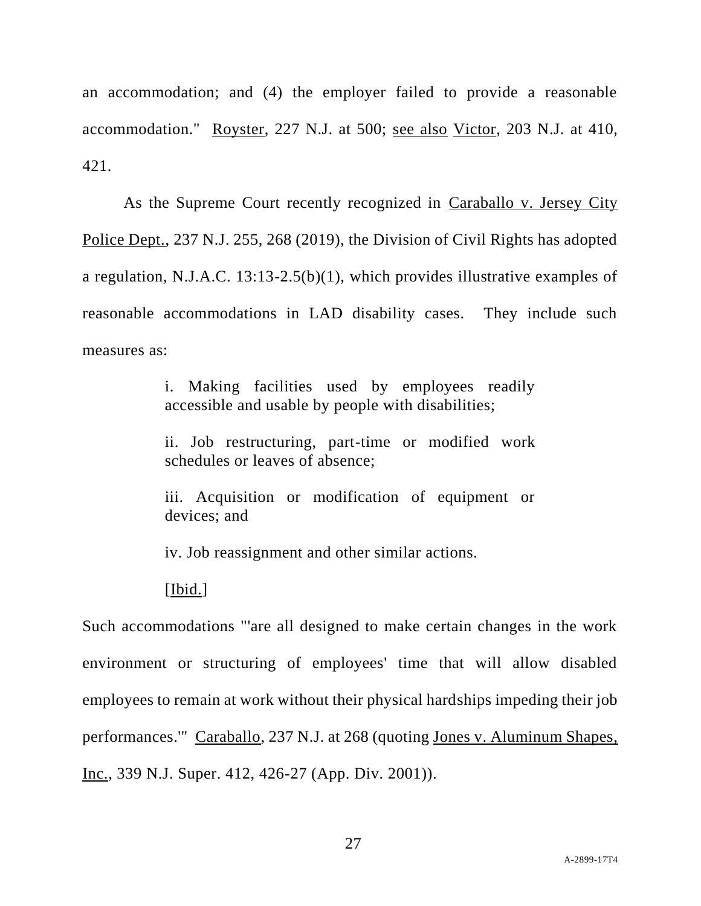an accommodation; and (4) the employer failed to provide a reasonable accommodation." Royster, 227 N.J. at 500; see also Victor, 203 N.J. at 410, 421.

As the Supreme Court recently recognized in Caraballo v. Jersey City Police Dept., 237 N.J. 255, 268 (2019), the Division of Civil Rights has adopted a regulation, N.J.A.C. 13:13-2.5(b)(1), which provides illustrative examples of reasonable accommodations in LAD disability cases. They include such measures as:

> i. Making facilities used by employees readily accessible and usable by people with disabilities;

> ii. Job restructuring, part-time or modified work schedules or leaves of absence;

> iii. Acquisition or modification of equipment or devices; and

iv. Job reassignment and other similar actions.

## [Ibid.]

Such accommodations "'are all designed to make certain changes in the work environment or structuring of employees' time that will allow disabled employees to remain at work without their physical hardships impeding their job performances.'" Caraballo, 237 N.J. at 268 (quoting Jones v. Aluminum Shapes, Inc., 339 N.J. Super. 412, 426-27 (App. Div. 2001)).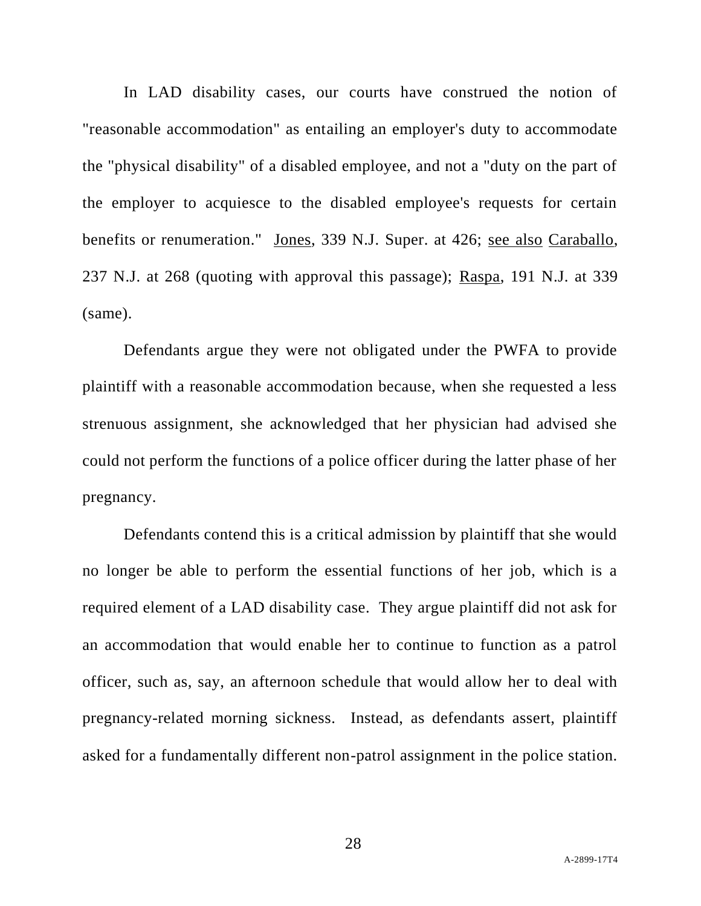In LAD disability cases, our courts have construed the notion of "reasonable accommodation" as entailing an employer's duty to accommodate the "physical disability" of a disabled employee, and not a "duty on the part of the employer to acquiesce to the disabled employee's requests for certain benefits or renumeration." Jones, 339 N.J. Super. at 426; see also Caraballo, 237 N.J. at 268 (quoting with approval this passage); Raspa, 191 N.J. at 339 (same).

Defendants argue they were not obligated under the PWFA to provide plaintiff with a reasonable accommodation because, when she requested a less strenuous assignment, she acknowledged that her physician had advised she could not perform the functions of a police officer during the latter phase of her pregnancy.

Defendants contend this is a critical admission by plaintiff that she would no longer be able to perform the essential functions of her job, which is a required element of a LAD disability case. They argue plaintiff did not ask for an accommodation that would enable her to continue to function as a patrol officer, such as, say, an afternoon schedule that would allow her to deal with pregnancy-related morning sickness. Instead, as defendants assert, plaintiff asked for a fundamentally different non-patrol assignment in the police station.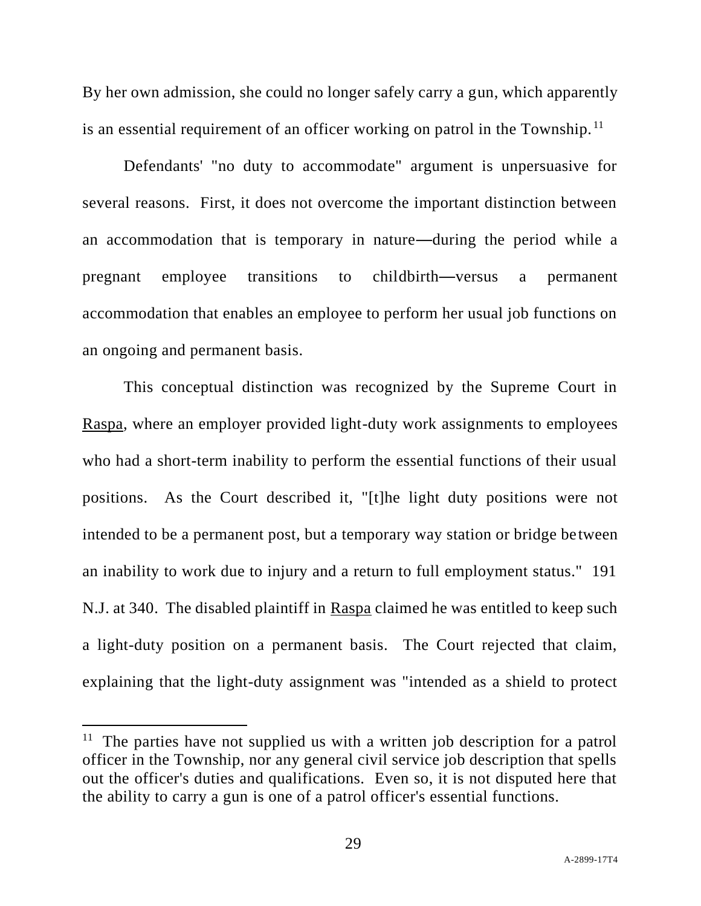By her own admission, she could no longer safely carry a gun, which apparently is an essential requirement of an officer working on patrol in the Township.<sup>11</sup>

Defendants' "no duty to accommodate" argument is unpersuasive for several reasons. First, it does not overcome the important distinction between an accommodation that is temporary in nature—during the period while a pregnant employee transitions to childbirth—versus a permanent accommodation that enables an employee to perform her usual job functions on an ongoing and permanent basis.

This conceptual distinction was recognized by the Supreme Court in Raspa, where an employer provided light-duty work assignments to employees who had a short-term inability to perform the essential functions of their usual positions. As the Court described it, "[t]he light duty positions were not intended to be a permanent post, but a temporary way station or bridge between an inability to work due to injury and a return to full employment status." 191 N.J. at 340. The disabled plaintiff in Raspa claimed he was entitled to keep such a light-duty position on a permanent basis. The Court rejected that claim, explaining that the light-duty assignment was "intended as a shield to protect

<sup>&</sup>lt;sup>11</sup> The parties have not supplied us with a written job description for a patrol officer in the Township, nor any general civil service job description that spells out the officer's duties and qualifications. Even so, it is not disputed here that the ability to carry a gun is one of a patrol officer's essential functions.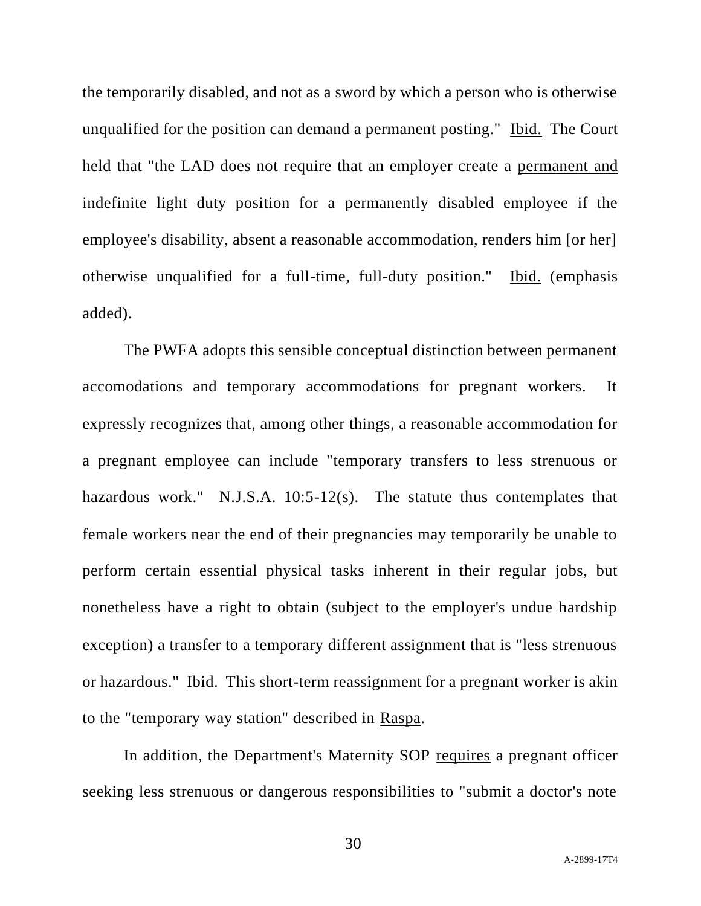the temporarily disabled, and not as a sword by which a person who is otherwise unqualified for the position can demand a permanent posting." Ibid. The Court held that "the LAD does not require that an employer create a permanent and indefinite light duty position for a permanently disabled employee if the employee's disability, absent a reasonable accommodation, renders him [or her] otherwise unqualified for a full-time, full-duty position." Ibid. (emphasis added).

The PWFA adopts this sensible conceptual distinction between permanent accomodations and temporary accommodations for pregnant workers. It expressly recognizes that, among other things, a reasonable accommodation for a pregnant employee can include "temporary transfers to less strenuous or hazardous work." N.J.S.A. 10:5-12(s). The statute thus contemplates that female workers near the end of their pregnancies may temporarily be unable to perform certain essential physical tasks inherent in their regular jobs, but nonetheless have a right to obtain (subject to the employer's undue hardship exception) a transfer to a temporary different assignment that is "less strenuous or hazardous." Ibid. This short-term reassignment for a pregnant worker is akin to the "temporary way station" described in Raspa.

In addition, the Department's Maternity SOP requires a pregnant officer seeking less strenuous or dangerous responsibilities to "submit a doctor's note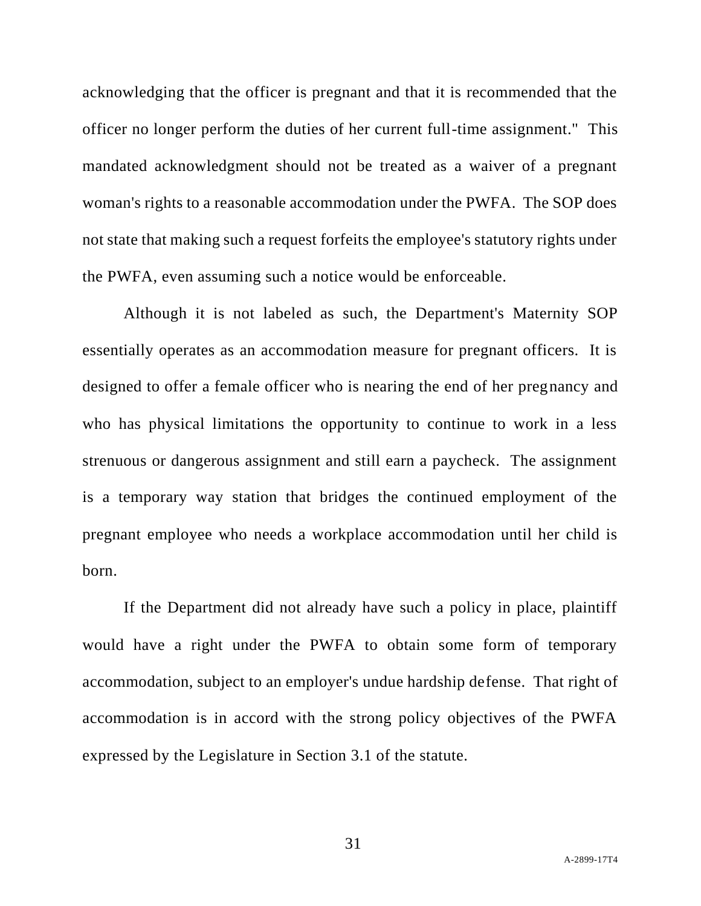acknowledging that the officer is pregnant and that it is recommended that the officer no longer perform the duties of her current full-time assignment." This mandated acknowledgment should not be treated as a waiver of a pregnant woman's rights to a reasonable accommodation under the PWFA. The SOP does not state that making such a request forfeits the employee's statutory rights under the PWFA, even assuming such a notice would be enforceable.

Although it is not labeled as such, the Department's Maternity SOP essentially operates as an accommodation measure for pregnant officers. It is designed to offer a female officer who is nearing the end of her pregnancy and who has physical limitations the opportunity to continue to work in a less strenuous or dangerous assignment and still earn a paycheck. The assignment is a temporary way station that bridges the continued employment of the pregnant employee who needs a workplace accommodation until her child is born.

If the Department did not already have such a policy in place, plaintiff would have a right under the PWFA to obtain some form of temporary accommodation, subject to an employer's undue hardship defense. That right of accommodation is in accord with the strong policy objectives of the PWFA expressed by the Legislature in Section 3.1 of the statute.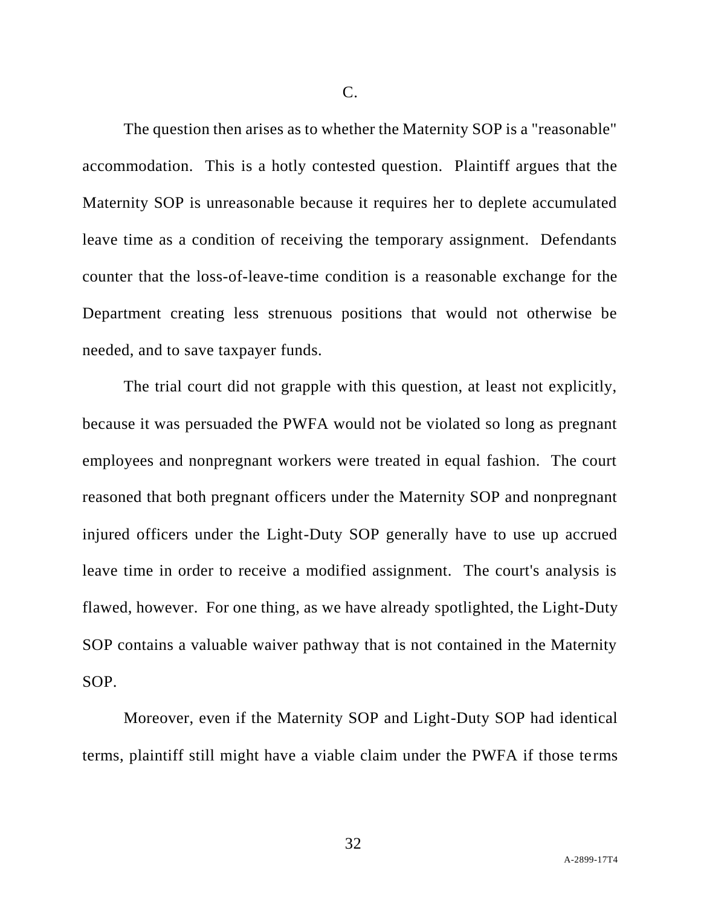C.

The question then arises as to whether the Maternity SOP is a "reasonable" accommodation. This is a hotly contested question. Plaintiff argues that the Maternity SOP is unreasonable because it requires her to deplete accumulated leave time as a condition of receiving the temporary assignment. Defendants counter that the loss-of-leave-time condition is a reasonable exchange for the Department creating less strenuous positions that would not otherwise be needed, and to save taxpayer funds.

The trial court did not grapple with this question, at least not explicitly, because it was persuaded the PWFA would not be violated so long as pregnant employees and nonpregnant workers were treated in equal fashion. The court reasoned that both pregnant officers under the Maternity SOP and nonpregnant injured officers under the Light-Duty SOP generally have to use up accrued leave time in order to receive a modified assignment. The court's analysis is flawed, however. For one thing, as we have already spotlighted, the Light-Duty SOP contains a valuable waiver pathway that is not contained in the Maternity SOP.

Moreover, even if the Maternity SOP and Light-Duty SOP had identical terms, plaintiff still might have a viable claim under the PWFA if those terms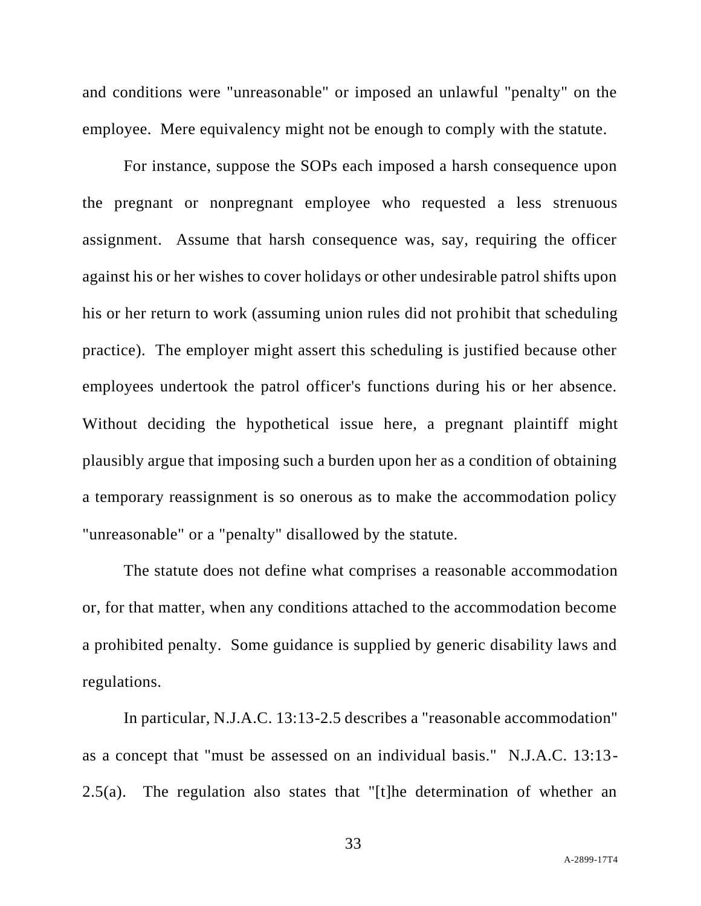and conditions were "unreasonable" or imposed an unlawful "penalty" on the employee. Mere equivalency might not be enough to comply with the statute.

For instance, suppose the SOPs each imposed a harsh consequence upon the pregnant or nonpregnant employee who requested a less strenuous assignment. Assume that harsh consequence was, say, requiring the officer against his or her wishes to cover holidays or other undesirable patrol shifts upon his or her return to work (assuming union rules did not prohibit that scheduling practice). The employer might assert this scheduling is justified because other employees undertook the patrol officer's functions during his or her absence. Without deciding the hypothetical issue here, a pregnant plaintiff might plausibly argue that imposing such a burden upon her as a condition of obtaining a temporary reassignment is so onerous as to make the accommodation policy "unreasonable" or a "penalty" disallowed by the statute.

The statute does not define what comprises a reasonable accommodation or, for that matter, when any conditions attached to the accommodation become a prohibited penalty. Some guidance is supplied by generic disability laws and regulations.

In particular, N.J.A.C. 13:13-2.5 describes a "reasonable accommodation" as a concept that "must be assessed on an individual basis." N.J.A.C. 13:13- 2.5(a). The regulation also states that "[t]he determination of whether an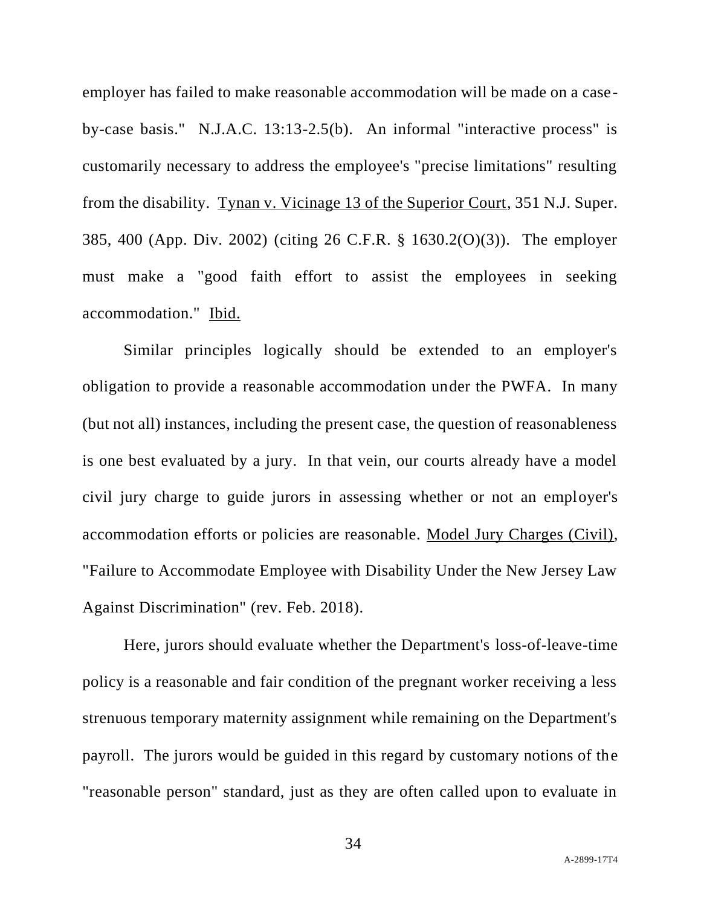employer has failed to make reasonable accommodation will be made on a caseby-case basis." N.J.A.C. 13:13-2.5(b). An informal "interactive process" is customarily necessary to address the employee's "precise limitations" resulting from the disability. Tynan v. Vicinage 13 of the Superior Court, 351 N.J. Super. 385, 400 (App. Div. 2002) (citing 26 C.F.R. § 1630.2(O)(3)). The employer must make a "good faith effort to assist the employees in seeking accommodation." Ibid.

Similar principles logically should be extended to an employer's obligation to provide a reasonable accommodation under the PWFA. In many (but not all) instances, including the present case, the question of reasonableness is one best evaluated by a jury. In that vein, our courts already have a model civil jury charge to guide jurors in assessing whether or not an employer's accommodation efforts or policies are reasonable. Model Jury Charges (Civil), "Failure to Accommodate Employee with Disability Under the New Jersey Law Against Discrimination" (rev. Feb. 2018).

Here, jurors should evaluate whether the Department's loss-of-leave-time policy is a reasonable and fair condition of the pregnant worker receiving a less strenuous temporary maternity assignment while remaining on the Department's payroll. The jurors would be guided in this regard by customary notions of the "reasonable person" standard, just as they are often called upon to evaluate in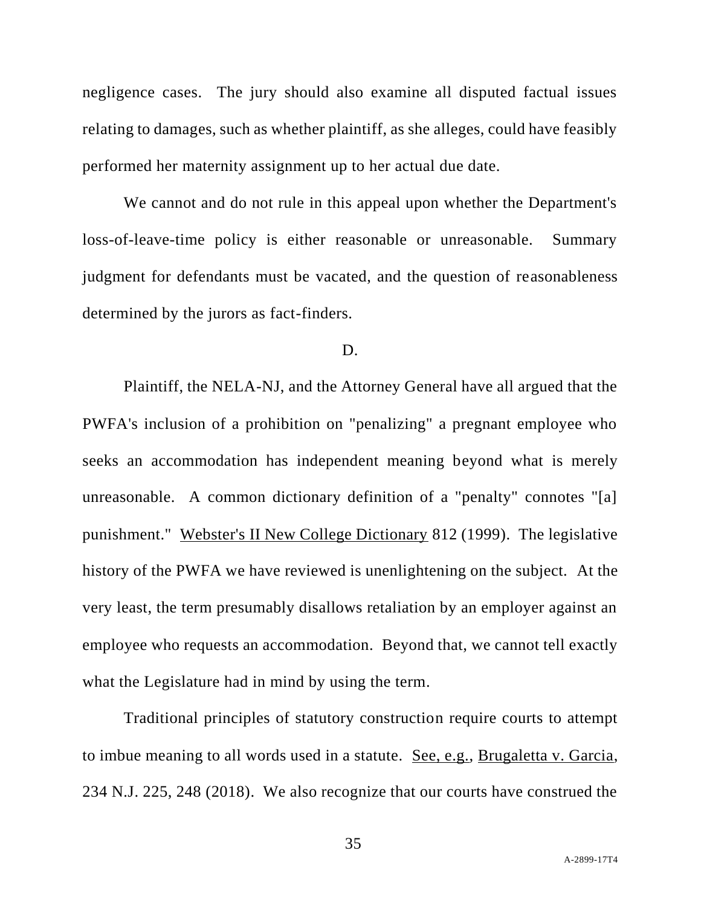negligence cases. The jury should also examine all disputed factual issues relating to damages, such as whether plaintiff, as she alleges, could have feasibly performed her maternity assignment up to her actual due date.

We cannot and do not rule in this appeal upon whether the Department's loss-of-leave-time policy is either reasonable or unreasonable. Summary judgment for defendants must be vacated, and the question of reasonableness determined by the jurors as fact-finders.

## D.

Plaintiff, the NELA-NJ, and the Attorney General have all argued that the PWFA's inclusion of a prohibition on "penalizing" a pregnant employee who seeks an accommodation has independent meaning beyond what is merely unreasonable. A common dictionary definition of a "penalty" connotes "[a] punishment." Webster's II New College Dictionary 812 (1999). The legislative history of the PWFA we have reviewed is unenlightening on the subject. At the very least, the term presumably disallows retaliation by an employer against an employee who requests an accommodation. Beyond that, we cannot tell exactly what the Legislature had in mind by using the term.

Traditional principles of statutory construction require courts to attempt to imbue meaning to all words used in a statute. See, e.g., Brugaletta v. Garcia, 234 N.J. 225, 248 (2018). We also recognize that our courts have construed the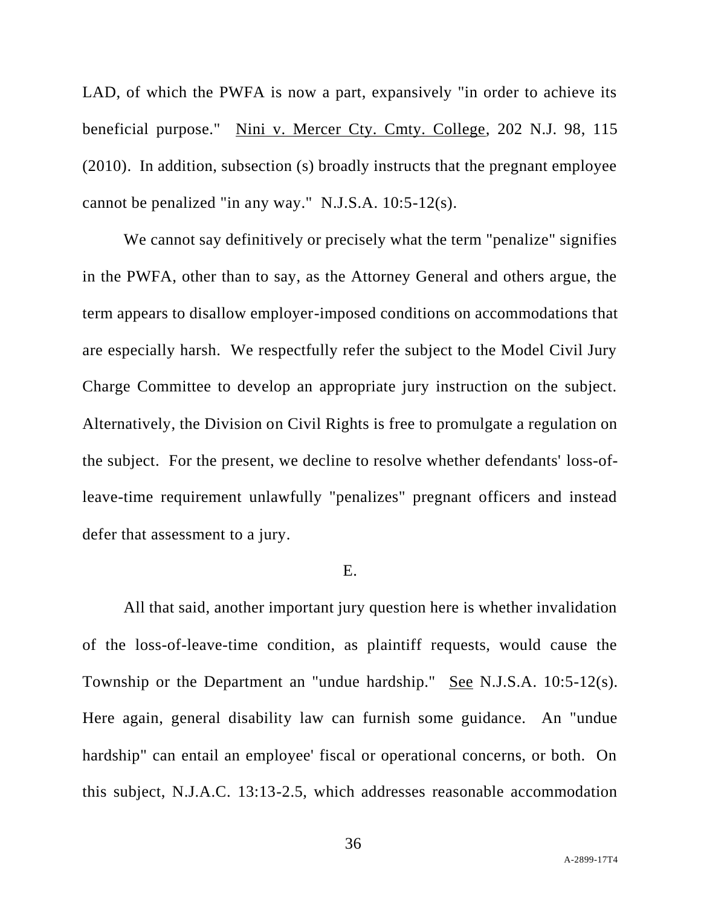LAD, of which the PWFA is now a part, expansively "in order to achieve its beneficial purpose." Nini v. Mercer Cty. Cmty. College, 202 N.J. 98, 115 (2010). In addition, subsection (s) broadly instructs that the pregnant employee cannot be penalized "in any way." N.J.S.A. 10:5-12(s).

We cannot say definitively or precisely what the term "penalize" signifies in the PWFA, other than to say, as the Attorney General and others argue, the term appears to disallow employer-imposed conditions on accommodations that are especially harsh. We respectfully refer the subject to the Model Civil Jury Charge Committee to develop an appropriate jury instruction on the subject. Alternatively, the Division on Civil Rights is free to promulgate a regulation on the subject. For the present, we decline to resolve whether defendants' loss-ofleave-time requirement unlawfully "penalizes" pregnant officers and instead defer that assessment to a jury.

## E.

All that said, another important jury question here is whether invalidation of the loss-of-leave-time condition, as plaintiff requests, would cause the Township or the Department an "undue hardship." See N.J.S.A. 10:5-12(s). Here again, general disability law can furnish some guidance. An "undue hardship" can entail an employee' fiscal or operational concerns, or both. On this subject, N.J.A.C. 13:13-2.5, which addresses reasonable accommodation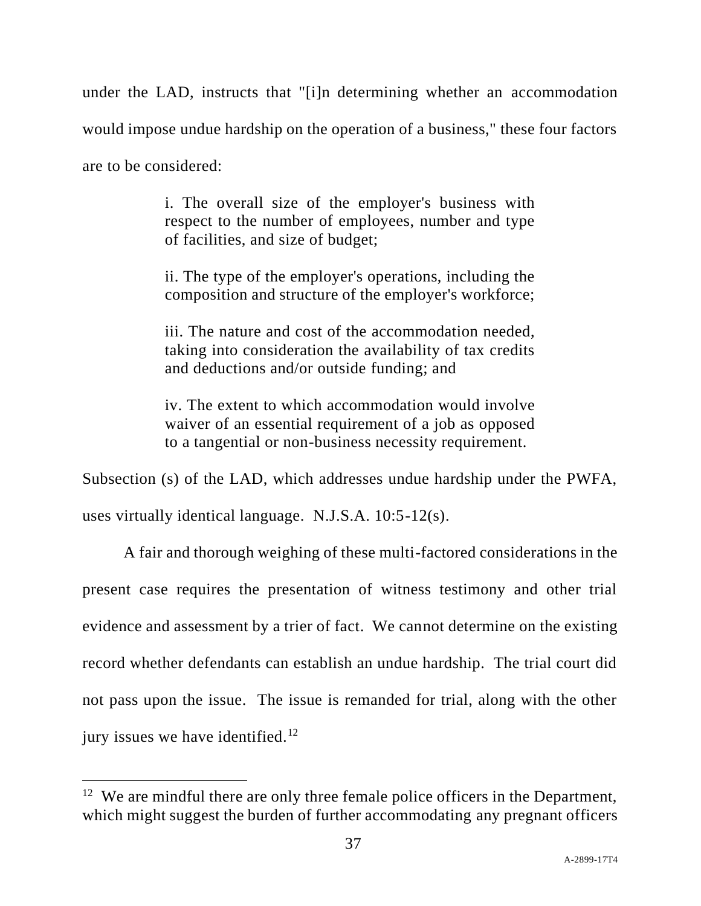under the LAD, instructs that "[i]n determining whether an accommodation would impose undue hardship on the operation of a business," these four factors are to be considered:

> i. The overall size of the employer's business with respect to the number of employees, number and type of facilities, and size of budget;

> ii. The type of the employer's operations, including the composition and structure of the employer's workforce;

> iii. The nature and cost of the accommodation needed, taking into consideration the availability of tax credits and deductions and/or outside funding; and

> iv. The extent to which accommodation would involve waiver of an essential requirement of a job as opposed to a tangential or non-business necessity requirement.

Subsection (s) of the LAD, which addresses undue hardship under the PWFA,

uses virtually identical language. N.J.S.A. 10:5-12(s).

A fair and thorough weighing of these multi-factored considerations in the present case requires the presentation of witness testimony and other trial evidence and assessment by a trier of fact. We cannot determine on the existing record whether defendants can establish an undue hardship. The trial court did not pass upon the issue. The issue is remanded for trial, along with the other jury issues we have identified.<sup>12</sup>

<sup>&</sup>lt;sup>12</sup> We are mindful there are only three female police officers in the Department, which might suggest the burden of further accommodating any pregnant officers